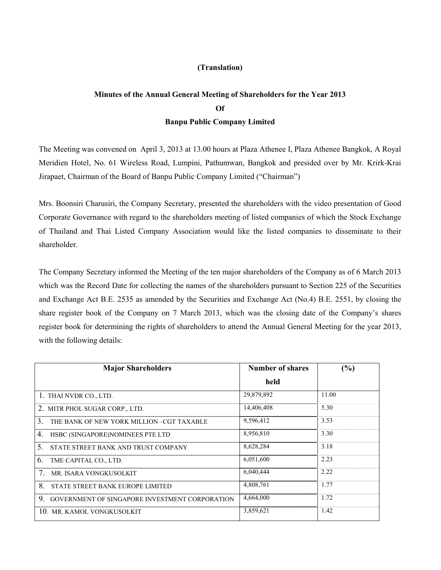### **(Translation)**

# **Minutes of the Annual General Meeting of Shareholders for the Year 2013 Of Banpu Public Company Limited**

The Meeting was convened on April 3, 2013 at 13.00 hours at Plaza Athenee I, Plaza Athenee Bangkok, A Royal Meridien Hotel, No. 61 Wireless Road, Lumpini, Pathumwan, Bangkok and presided over by Mr. Krirk-Krai Jirapaet, Chairman of the Board of Banpu Public Company Limited ("Chairman")

Mrs. Boonsiri Charusiri, the Company Secretary, presented the shareholders with the video presentation of Good Corporate Governance with regard to the shareholders meeting of listed companies of which the Stock Exchange of Thailand and Thai Listed Company Association would like the listed companies to disseminate to their shareholder.

The Company Secretary informed the Meeting of the ten major shareholders of the Company as of 6 March 2013 which was the Record Date for collecting the names of the shareholders pursuant to Section 225 of the Securities and Exchange Act B.E. 2535 as amended by the Securities and Exchange Act (No.4) B.E. 2551, by closing the share register book of the Company on 7 March 2013, which was the closing date of the Company's shares register book for determining the rights of shareholders to attend the Annual General Meeting for the year 2013, with the following details:

| <b>Major Shareholders</b>                                  | <b>Number of shares</b> | (%)   |
|------------------------------------------------------------|-------------------------|-------|
|                                                            | held                    |       |
| 1. THAI NVDR CO., LTD.                                     | 29,879,892              | 11.00 |
| 2. MITR PHOL SUGAR CORP., LTD.                             | 14,406,408              | 5.30  |
| 3<br>THE BANK OF NEW YORK MILLION-CGT TAXABLE              | 9,596,412               | 3.53  |
| 4.<br>HSBC (SINGAPORE)NOMINEES PTE LTD                     | 8,956,810               | 3.30  |
| 5<br>STATE STREET BANK AND TRUST COMPANY                   | 8,628,284               | 3.18  |
| 6.<br>TME CAPITAL CO., LTD.                                | 6,051,600               | 2.23  |
| MR. ISARA VONGKUSOLKIT                                     | 6.040.444               | 2.22  |
| 8<br>STATE STREET BANK EUROPE LIMITED                      | 4.808.761               | 1.77  |
| 9<br><b>GOVERNMENT OF SINGAPORE INVESTMENT CORPORATION</b> | 4,664,000               | 1.72  |
| 10. MR. KAMOL VONGKUSOLKIT                                 | 3,859,621               | 1.42  |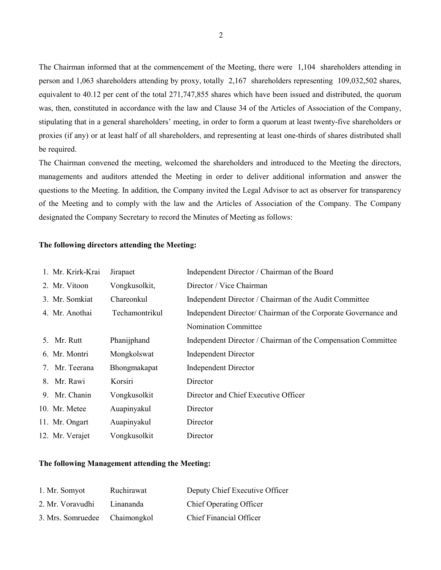The Chairman informed that at the commencement of the Meeting, there were 1,104 shareholders attending in person and 1,063 shareholders attending by proxy, totally 2,167 shareholders representing 109,032,502 shares, equivalent to 40.12 per cent of the total 271,747,855 shares which have been issued and distributed, the quorum was, then, constituted in accordance with the law and Clause 34 of the Articles of Association of the Company, stipulating that in a general shareholders' meeting, in order to form a quorum at least twenty-five shareholders or proxies (if any) or at least half of all shareholders, and representing at least one-thirds of shares distributed shall be required.

The Chairman convened the meeting, welcomed the shareholders and introduced to the Meeting the directors, managements and auditors attended the Meeting in order to deliver additional information and answer the questions to the Meeting. In addition, the Company invited the Legal Advisor to act as observer for transparency of the Meeting and to comply with the law and the Articles of Association of the Company. The Company designated the Company Secretary to record the Minutes of Meeting as follows:

### **The following directors attending the Meeting:**

| 1. Mr. Krirk-Krai | Jirapaet       | Independent Director / Chairman of the Board                   |
|-------------------|----------------|----------------------------------------------------------------|
| 2. Mr. Vitoon     | Vongkusolkit,  | Director / Vice Chairman                                       |
| 3. Mr. Somkiat    | Chareonkul     | Independent Director / Chairman of the Audit Committee         |
| 4. Mr. Anothai    | Techamontrikul | Independent Director/ Chairman of the Corporate Governance and |
|                   |                | <b>Nomination Committee</b>                                    |
| 5. Mr. Rutt       | Phanijphand    | Independent Director / Chairman of the Compensation Committee  |
| 6. Mr. Montri     | Mongkolswat    | <b>Independent Director</b>                                    |
| 7. Mr. Teerana    | Bhongmakapat   | <b>Independent Director</b>                                    |
| 8. Mr. Rawi       | Korsiri        | Director                                                       |
| 9. Mr. Chanin     | Vongkusolkit   | Director and Chief Executive Officer                           |
| 10. Mr. Metee     | Auapinyakul    | Director                                                       |
| 11. Mr. Ongart    | Auapinyakul    | Director                                                       |
| 12. Mr. Verajet   | Vongkusolkit   | Director                                                       |

### **The following Management attending the Meeting:**

| 1. Mr. Somyot                 | Ruchirawat | Deputy Chief Executive Officer |
|-------------------------------|------------|--------------------------------|
| 2. Mr. Voravudhi              | Linananda  | <b>Chief Operating Officer</b> |
| 3. Mrs. Somruedee Chaimongkol |            | <b>Chief Financial Officer</b> |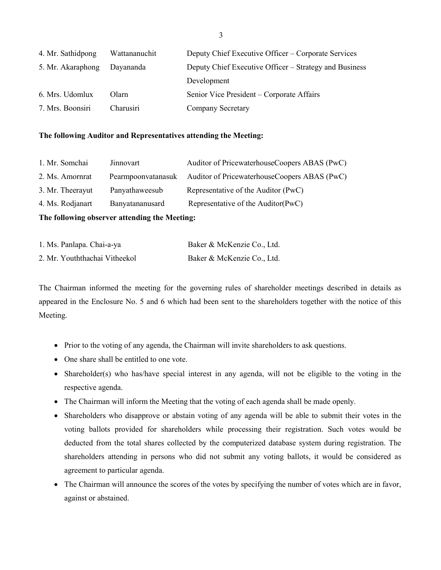| 4. Mr. Sathidpong | Wattananuchit | Deputy Chief Executive Officer – Corporate Services    |
|-------------------|---------------|--------------------------------------------------------|
| 5. Mr. Akaraphong | Dayananda     | Deputy Chief Executive Officer – Strategy and Business |
|                   |               | Development                                            |
| 6. Mrs. Udomlux   | Olarn         | Senior Vice President – Corporate Affairs              |
| 7. Mrs. Boonsiri  | Charusiri     | Company Secretary                                      |

### **The following Auditor and Representatives attending the Meeting:**

| 1. Mr. Somchai   | Jinnovart          | Auditor of PricewaterhouseCoopers ABAS (PwC) |
|------------------|--------------------|----------------------------------------------|
| 2. Ms. Amornrat  | Pearmpoonvatanasuk | Auditor of PricewaterhouseCoopers ABAS (PwC) |
| 3. Mr. Theerayut | Panyathaweesub     | Representative of the Auditor (PwC)          |
| 4. Ms. Rodjanart | Banyatananusard    | Representative of the Auditor(PwC)           |

**The following observer attending the Meeting:** 

| 1. Ms. Panlapa. Chai-a-ya     | Baker & McKenzie Co., Ltd. |
|-------------------------------|----------------------------|
| 2. Mr. Youththachai Vitheekol | Baker & McKenzie Co., Ltd. |

The Chairman informed the meeting for the governing rules of shareholder meetings described in details as appeared in the Enclosure No. 5 and 6 which had been sent to the shareholders together with the notice of this Meeting.

- Prior to the voting of any agenda, the Chairman will invite shareholders to ask questions.
- One share shall be entitled to one vote.
- Shareholder(s) who has/have special interest in any agenda, will not be eligible to the voting in the respective agenda.
- The Chairman will inform the Meeting that the voting of each agenda shall be made openly.
- Shareholders who disapprove or abstain voting of any agenda will be able to submit their votes in the voting ballots provided for shareholders while processing their registration. Such votes would be deducted from the total shares collected by the computerized database system during registration. The shareholders attending in persons who did not submit any voting ballots, it would be considered as agreement to particular agenda.
- The Chairman will announce the scores of the votes by specifying the number of votes which are in favor, against or abstained.

3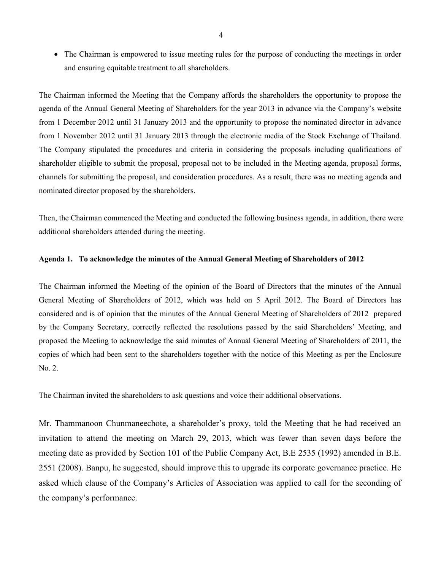• The Chairman is empowered to issue meeting rules for the purpose of conducting the meetings in order and ensuring equitable treatment to all shareholders.

The Chairman informed the Meeting that the Company affords the shareholders the opportunity to propose the agenda of the Annual General Meeting of Shareholders for the year 2013 in advance via the Company's website from 1 December 2012 until 31 January 2013 and the opportunity to propose the nominated director in advance from 1 November 2012 until 31 January 2013 through the electronic media of the Stock Exchange of Thailand. The Company stipulated the procedures and criteria in considering the proposals including qualifications of shareholder eligible to submit the proposal, proposal not to be included in the Meeting agenda, proposal forms, channels for submitting the proposal, and consideration procedures. As a result, there was no meeting agenda and nominated director proposed by the shareholders.

Then, the Chairman commenced the Meeting and conducted the following business agenda, in addition, there were additional shareholders attended during the meeting.

#### **Agenda 1. To acknowledge the minutes of the Annual General Meeting of Shareholders of 2012**

The Chairman informed the Meeting of the opinion of the Board of Directors that the minutes of the Annual General Meeting of Shareholders of 2012, which was held on 5 April 2012. The Board of Directors has considered and is of opinion that the minutes of the Annual General Meeting of Shareholders of 2012 prepared by the Company Secretary, correctly reflected the resolutions passed by the said Shareholders' Meeting, and proposed the Meeting to acknowledge the said minutes of Annual General Meeting of Shareholders of 2011, the copies of which had been sent to the shareholders together with the notice of this Meeting as per the Enclosure No. 2.

The Chairman invited the shareholders to ask questions and voice their additional observations.

Mr. Thammanoon Chunmaneechote, a shareholder's proxy, told the Meeting that he had received an invitation to attend the meeting on March 29, 2013, which was fewer than seven days before the meeting date as provided by Section 101 of the Public Company Act, B.E 2535 (1992) amended in B.E. 2551 (2008). Banpu, he suggested, should improve this to upgrade its corporate governance practice. He asked which clause of the Company's Articles of Association was applied to call for the seconding of the company's performance.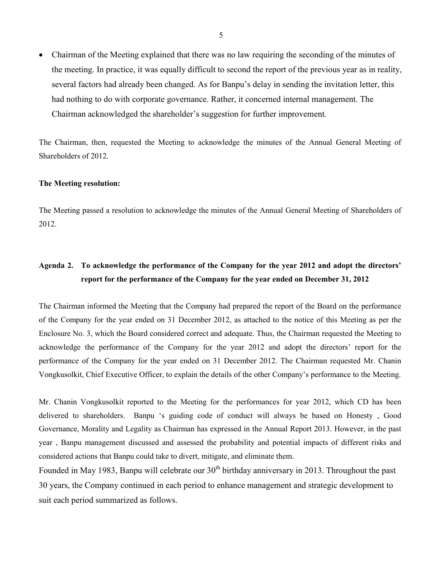• Chairman of the Meeting explained that there was no law requiring the seconding of the minutes of the meeting. In practice, it was equally difficult to second the report of the previous year as in reality, several factors had already been changed. As for Banpu's delay in sending the invitation letter, this had nothing to do with corporate governance. Rather, it concerned internal management. The Chairman acknowledged the shareholder's suggestion for further improvement.

The Chairman, then, requested the Meeting to acknowledge the minutes of the Annual General Meeting of Shareholders of 2012.

#### **The Meeting resolution:**

The Meeting passed a resolution to acknowledge the minutes of the Annual General Meeting of Shareholders of 2012.

# **Agenda 2. To acknowledge the performance of the Company for the year 2012 and adopt the directors' report for the performance of the Company for the year ended on December 31, 2012**

The Chairman informed the Meeting that the Company had prepared the report of the Board on the performance of the Company for the year ended on 31 December 2012, as attached to the notice of this Meeting as per the Enclosure No. 3, which the Board considered correct and adequate. Thus, the Chairman requested the Meeting to acknowledge the performance of the Company for the year 2012 and adopt the directors' report for the performance of the Company for the year ended on 31 December 2012. The Chairman requested Mr. Chanin Vongkusolkit, Chief Executive Officer, to explain the details of the other Company's performance to the Meeting.

Mr. Chanin Vongkusolkit reported to the Meeting for the performances for year 2012, which CD has been delivered to shareholders. Banpu 's guiding code of conduct will always be based on Honesty , Good Governance, Morality and Legality as Chairman has expressed in the Annual Report 2013. However, in the past year , Banpu management discussed and assessed the probability and potential impacts of different risks and considered actions that Banpu could take to divert, mitigate, and eliminate them.

Founded in May 1983, Banpu will celebrate our  $30<sup>th</sup>$  birthday anniversary in 2013. Throughout the past 30 years, the Company continued in each period to enhance management and strategic development to suit each period summarized as follows.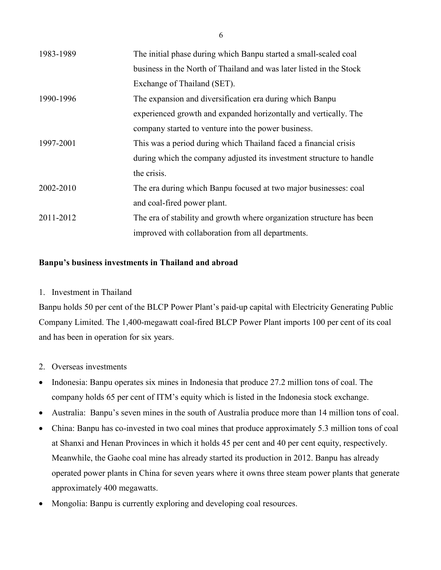| 1983-1989 | The initial phase during which Banpu started a small-scaled coal      |
|-----------|-----------------------------------------------------------------------|
|           | business in the North of Thailand and was later listed in the Stock   |
|           | Exchange of Thailand (SET).                                           |
| 1990-1996 | The expansion and diversification era during which Banpu              |
|           | experienced growth and expanded horizontally and vertically. The      |
|           | company started to venture into the power business.                   |
| 1997-2001 | This was a period during which Thailand faced a financial crisis      |
|           | during which the company adjusted its investment structure to handle  |
|           | the crisis.                                                           |
| 2002-2010 | The era during which Banpu focused at two major businesses: coal      |
|           | and coal-fired power plant.                                           |
| 2011-2012 | The era of stability and growth where organization structure has been |
|           | improved with collaboration from all departments.                     |

# **Banpu's business investments in Thailand and abroad**

# 1. Investment in Thailand

Banpu holds 50 per cent of the BLCP Power Plant's paid-up capital with Electricity Generating Public Company Limited. The 1,400-megawatt coal-fired BLCP Power Plant imports 100 per cent of its coal and has been in operation for six years.

- 2. Overseas investments
- Indonesia: Banpu operates six mines in Indonesia that produce 27.2 million tons of coal. The company holds 65 per cent of ITM's equity which is listed in the Indonesia stock exchange.
- Australia: Banpu's seven mines in the south of Australia produce more than 14 million tons of coal.
- China: Banpu has co-invested in two coal mines that produce approximately 5.3 million tons of coal at Shanxi and Henan Provinces in which it holds 45 per cent and 40 per cent equity, respectively. Meanwhile, the Gaohe coal mine has already started its production in 2012. Banpu has already operated power plants in China for seven years where it owns three steam power plants that generate approximately 400 megawatts.
- Mongolia: Banpu is currently exploring and developing coal resources.

6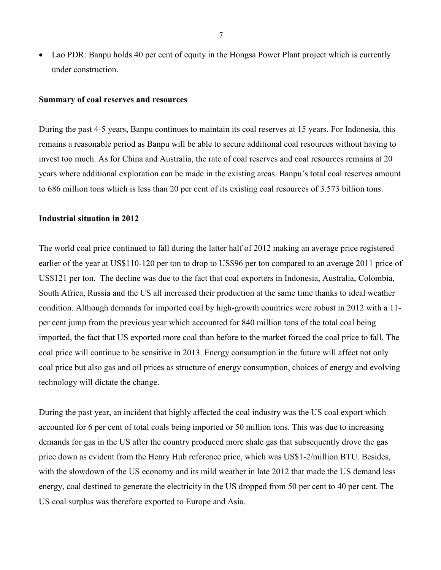• Lao PDR: Banpu holds 40 per cent of equity in the Hongsa Power Plant project which is currently under construction.

#### **Summary of coal reserves and resources**

During the past 4-5 years, Banpu continues to maintain its coal reserves at 15 years. For Indonesia, this remains a reasonable period as Banpu will be able to secure additional coal resources without having to invest too much. As for China and Australia, the rate of coal reserves and coal resources remains at 20 years where additional exploration can be made in the existing areas. Banpu's total coal reserves amount to 686 million tons which is less than 20 per cent of its existing coal resources of 3.573 billion tons.

### **Industrial situation in 2012**

The world coal price continued to fall during the latter half of 2012 making an average price registered earlier of the year at US\$110-120 per ton to drop to US\$96 per ton compared to an average 2011 price of US\$121 per ton. The decline was due to the fact that coal exporters in Indonesia, Australia, Colombia, South Africa, Russia and the US all increased their production at the same time thanks to ideal weather condition. Although demands for imported coal by high-growth countries were robust in 2012 with a 11 per cent jump from the previous year which accounted for 840 million tons of the total coal being imported, the fact that US exported more coal than before to the market forced the coal price to fall. The coal price will continue to be sensitive in 2013. Energy consumption in the future will affect not only coal price but also gas and oil prices as structure of energy consumption, choices of energy and evolving technology will dictate the change.

During the past year, an incident that highly affected the coal industry was the US coal export which accounted for 6 per cent of total coals being imported or 50 million tons. This was due to increasing demands for gas in the US after the country produced more shale gas that subsequently drove the gas price down as evident from the Henry Hub reference price, which was US\$1-2/million BTU. Besides, with the slowdown of the US economy and its mild weather in late 2012 that made the US demand less energy, coal destined to generate the electricity in the US dropped from 50 per cent to 40 per cent. The US coal surplus was therefore exported to Europe and Asia.

7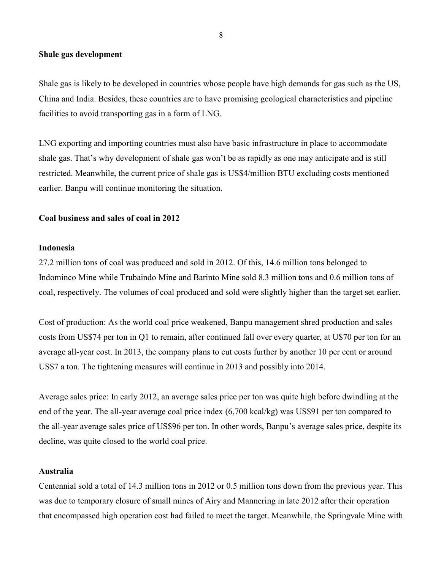### **Shale gas development**

Shale gas is likely to be developed in countries whose people have high demands for gas such as the US, China and India. Besides, these countries are to have promising geological characteristics and pipeline facilities to avoid transporting gas in a form of LNG.

LNG exporting and importing countries must also have basic infrastructure in place to accommodate shale gas. That's why development of shale gas won't be as rapidly as one may anticipate and is still restricted. Meanwhile, the current price of shale gas is US\$4/million BTU excluding costs mentioned earlier. Banpu will continue monitoring the situation.

# **Coal business and sales of coal in 2012**

#### **Indonesia**

27.2 million tons of coal was produced and sold in 2012. Of this, 14.6 million tons belonged to Indominco Mine while Trubaindo Mine and Barinto Mine sold 8.3 million tons and 0.6 million tons of coal, respectively. The volumes of coal produced and sold were slightly higher than the target set earlier.

Cost of production: As the world coal price weakened, Banpu management shred production and sales costs from US\$74 per ton in Q1 to remain, after continued fall over every quarter, at U\$70 per ton for an average all-year cost. In 2013, the company plans to cut costs further by another 10 per cent or around US\$7 a ton. The tightening measures will continue in 2013 and possibly into 2014.

Average sales price: In early 2012, an average sales price per ton was quite high before dwindling at the end of the year. The all-year average coal price index (6,700 kcal/kg) was US\$91 per ton compared to the all-year average sales price of US\$96 per ton. In other words, Banpu's average sales price, despite its decline, was quite closed to the world coal price.

### **Australia**

Centennial sold a total of 14.3 million tons in 2012 or 0.5 million tons down from the previous year. This was due to temporary closure of small mines of Airy and Mannering in late 2012 after their operation that encompassed high operation cost had failed to meet the target. Meanwhile, the Springvale Mine with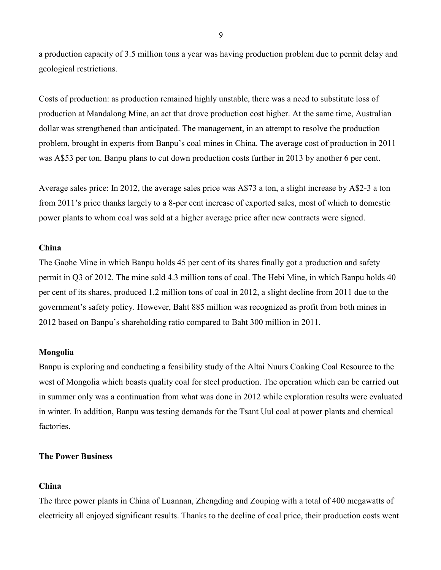a production capacity of 3.5 million tons a year was having production problem due to permit delay and geological restrictions.

Costs of production: as production remained highly unstable, there was a need to substitute loss of production at Mandalong Mine, an act that drove production cost higher. At the same time, Australian dollar was strengthened than anticipated. The management, in an attempt to resolve the production problem, brought in experts from Banpu's coal mines in China. The average cost of production in 2011 was A\$53 per ton. Banpu plans to cut down production costs further in 2013 by another 6 per cent.

Average sales price: In 2012, the average sales price was A\$73 a ton, a slight increase by A\$2-3 a ton from 2011's price thanks largely to a 8-per cent increase of exported sales, most of which to domestic power plants to whom coal was sold at a higher average price after new contracts were signed.

# **China**

The Gaohe Mine in which Banpu holds 45 per cent of its shares finally got a production and safety permit in Q3 of 2012. The mine sold 4.3 million tons of coal. The Hebi Mine, in which Banpu holds 40 per cent of its shares, produced 1.2 million tons of coal in 2012, a slight decline from 2011 due to the government's safety policy. However, Baht 885 million was recognized as profit from both mines in 2012 based on Banpu's shareholding ratio compared to Baht 300 million in 2011.

# **Mongolia**

Banpu is exploring and conducting a feasibility study of the Altai Nuurs Coaking Coal Resource to the west of Mongolia which boasts quality coal for steel production. The operation which can be carried out in summer only was a continuation from what was done in 2012 while exploration results were evaluated in winter. In addition, Banpu was testing demands for the Tsant Uul coal at power plants and chemical factories.

### **The Power Business**

### **China**

The three power plants in China of Luannan, Zhengding and Zouping with a total of 400 megawatts of electricity all enjoyed significant results. Thanks to the decline of coal price, their production costs went

9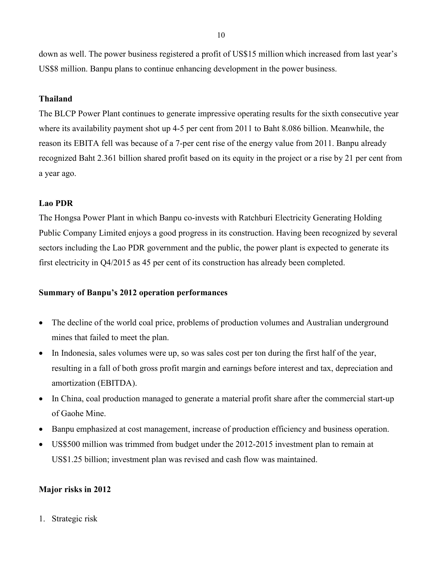down as well. The power business registered a profit of US\$15 million which increased from last year's US\$8 million. Banpu plans to continue enhancing development in the power business.

# **Thailand**

The BLCP Power Plant continues to generate impressive operating results for the sixth consecutive year where its availability payment shot up 4-5 per cent from 2011 to Baht 8.086 billion. Meanwhile, the reason its EBITA fell was because of a 7-per cent rise of the energy value from 2011. Banpu already recognized Baht 2.361 billion shared profit based on its equity in the project or a rise by 21 per cent from a year ago.

### **Lao PDR**

The Hongsa Power Plant in which Banpu co-invests with Ratchburi Electricity Generating Holding Public Company Limited enjoys a good progress in its construction. Having been recognized by several sectors including the Lao PDR government and the public, the power plant is expected to generate its first electricity in Q4/2015 as 45 per cent of its construction has already been completed.

### **Summary of Banpu's 2012 operation performances**

- The decline of the world coal price, problems of production volumes and Australian underground mines that failed to meet the plan.
- In Indonesia, sales volumes were up, so was sales cost per ton during the first half of the year, resulting in a fall of both gross profit margin and earnings before interest and tax, depreciation and amortization (EBITDA).
- In China, coal production managed to generate a material profit share after the commercial start-up of Gaohe Mine.
- Banpu emphasized at cost management, increase of production efficiency and business operation.
- US\$500 million was trimmed from budget under the 2012-2015 investment plan to remain at US\$1.25 billion; investment plan was revised and cash flow was maintained.

### **Major risks in 2012**

1. Strategic risk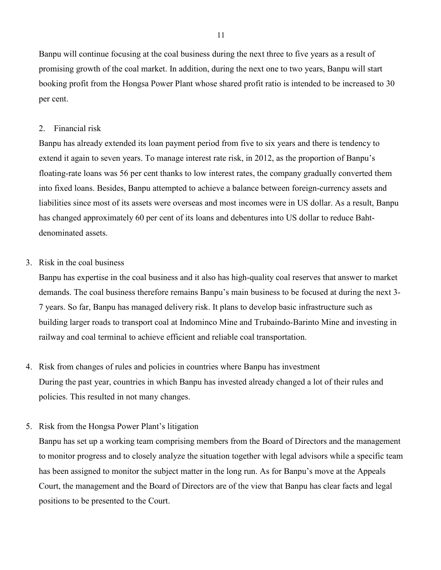Banpu will continue focusing at the coal business during the next three to five years as a result of promising growth of the coal market. In addition, during the next one to two years, Banpu will start booking profit from the Hongsa Power Plant whose shared profit ratio is intended to be increased to 30 per cent.

### 2. Financial risk

Banpu has already extended its loan payment period from five to six years and there is tendency to extend it again to seven years. To manage interest rate risk, in 2012, as the proportion of Banpu's floating-rate loans was 56 per cent thanks to low interest rates, the company gradually converted them into fixed loans. Besides, Banpu attempted to achieve a balance between foreign-currency assets and liabilities since most of its assets were overseas and most incomes were in US dollar. As a result, Banpu has changed approximately 60 per cent of its loans and debentures into US dollar to reduce Bahtdenominated assets.

### 3. Risk in the coal business

Banpu has expertise in the coal business and it also has high-quality coal reserves that answer to market demands. The coal business therefore remains Banpu's main business to be focused at during the next 3- 7 years. So far, Banpu has managed delivery risk. It plans to develop basic infrastructure such as building larger roads to transport coal at Indominco Mine and Trubaindo-Barinto Mine and investing in railway and coal terminal to achieve efficient and reliable coal transportation.

- 4. Risk from changes of rules and policies in countries where Banpu has investment During the past year, countries in which Banpu has invested already changed a lot of their rules and policies. This resulted in not many changes.
- 5. Risk from the Hongsa Power Plant's litigation

Banpu has set up a working team comprising members from the Board of Directors and the management to monitor progress and to closely analyze the situation together with legal advisors while a specific team has been assigned to monitor the subject matter in the long run. As for Banpu's move at the Appeals Court, the management and the Board of Directors are of the view that Banpu has clear facts and legal positions to be presented to the Court.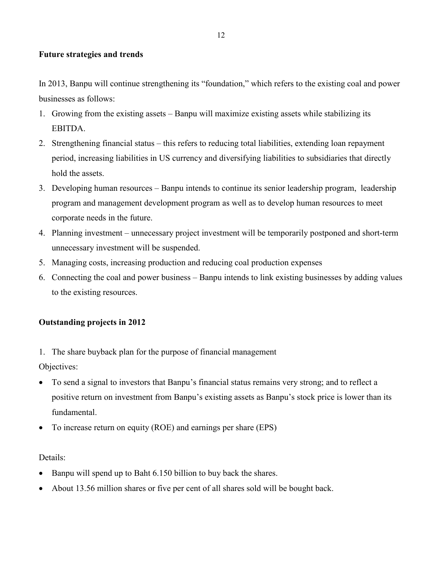# **Future strategies and trends**

In 2013, Banpu will continue strengthening its "foundation," which refers to the existing coal and power businesses as follows:

- 1. Growing from the existing assets Banpu will maximize existing assets while stabilizing its EBITDA.
- 2. Strengthening financial status this refers to reducing total liabilities, extending loan repayment period, increasing liabilities in US currency and diversifying liabilities to subsidiaries that directly hold the assets.
- 3. Developing human resources Banpu intends to continue its senior leadership program, leadership program and management development program as well as to develop human resources to meet corporate needs in the future.
- 4. Planning investment unnecessary project investment will be temporarily postponed and short-term unnecessary investment will be suspended.
- 5. Managing costs, increasing production and reducing coal production expenses
- 6. Connecting the coal and power business Banpu intends to link existing businesses by adding values to the existing resources.

# **Outstanding projects in 2012**

1. The share buyback plan for the purpose of financial management

Objectives:

- To send a signal to investors that Banpu's financial status remains very strong; and to reflect a positive return on investment from Banpu's existing assets as Banpu's stock price is lower than its fundamental.
- To increase return on equity (ROE) and earnings per share (EPS)

# Details:

- Banpu will spend up to Baht 6.150 billion to buy back the shares.
- About 13.56 million shares or five per cent of all shares sold will be bought back.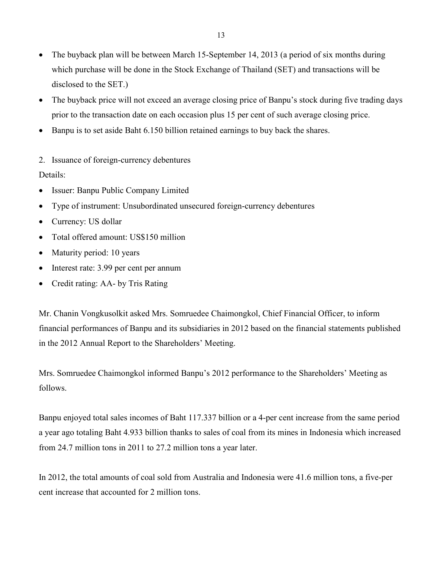- The buyback plan will be between March 15-September 14, 2013 (a period of six months during which purchase will be done in the Stock Exchange of Thailand (SET) and transactions will be disclosed to the SET.)
- The buyback price will not exceed an average closing price of Banpu's stock during five trading days prior to the transaction date on each occasion plus 15 per cent of such average closing price.
- Banpu is to set aside Baht 6.150 billion retained earnings to buy back the shares.
- 2. Issuance of foreign-currency debentures Details:
- Issuer: Banpu Public Company Limited
- Type of instrument: Unsubordinated unsecured foreign-currency debentures
- Currency: US dollar
- Total offered amount: US\$150 million
- Maturity period: 10 years
- Interest rate: 3.99 per cent per annum
- Credit rating: AA- by Tris Rating

Mr. Chanin Vongkusolkit asked Mrs. Somruedee Chaimongkol, Chief Financial Officer, to inform financial performances of Banpu and its subsidiaries in 2012 based on the financial statements published in the 2012 Annual Report to the Shareholders' Meeting.

Mrs. Somruedee Chaimongkol informed Banpu's 2012 performance to the Shareholders' Meeting as follows.

Banpu enjoyed total sales incomes of Baht 117.337 billion or a 4-per cent increase from the same period a year ago totaling Baht 4.933 billion thanks to sales of coal from its mines in Indonesia which increased from 24.7 million tons in 2011 to 27.2 million tons a year later.

In 2012, the total amounts of coal sold from Australia and Indonesia were 41.6 million tons, a five-per cent increase that accounted for 2 million tons.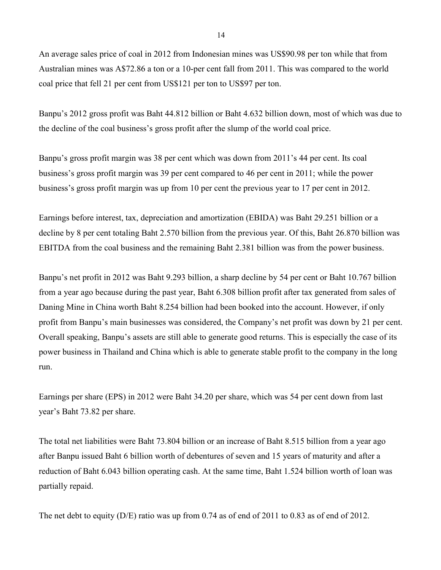An average sales price of coal in 2012 from Indonesian mines was US\$90.98 per ton while that from Australian mines was A\$72.86 a ton or a 10-per cent fall from 2011. This was compared to the world coal price that fell 21 per cent from US\$121 per ton to US\$97 per ton.

Banpu's 2012 gross profit was Baht 44.812 billion or Baht 4.632 billion down, most of which was due to the decline of the coal business's gross profit after the slump of the world coal price.

Banpu's gross profit margin was 38 per cent which was down from 2011's 44 per cent. Its coal business's gross profit margin was 39 per cent compared to 46 per cent in 2011; while the power business's gross profit margin was up from 10 per cent the previous year to 17 per cent in 2012.

Earnings before interest, tax, depreciation and amortization (EBIDA) was Baht 29.251 billion or a decline by 8 per cent totaling Baht 2.570 billion from the previous year. Of this, Baht 26.870 billion was EBITDA from the coal business and the remaining Baht 2.381 billion was from the power business.

Banpu's net profit in 2012 was Baht 9.293 billion, a sharp decline by 54 per cent or Baht 10.767 billion from a year ago because during the past year, Baht 6.308 billion profit after tax generated from sales of Daning Mine in China worth Baht 8.254 billion had been booked into the account. However, if only profit from Banpu's main businesses was considered, the Company's net profit was down by 21 per cent. Overall speaking, Banpu's assets are still able to generate good returns. This is especially the case of its power business in Thailand and China which is able to generate stable profit to the company in the long run.

Earnings per share (EPS) in 2012 were Baht 34.20 per share, which was 54 per cent down from last year's Baht 73.82 per share.

The total net liabilities were Baht 73.804 billion or an increase of Baht 8.515 billion from a year ago after Banpu issued Baht 6 billion worth of debentures of seven and 15 years of maturity and after a reduction of Baht 6.043 billion operating cash. At the same time, Baht 1.524 billion worth of loan was partially repaid.

The net debt to equity  $(D/E)$  ratio was up from 0.74 as of end of 2011 to 0.83 as of end of 2012.

14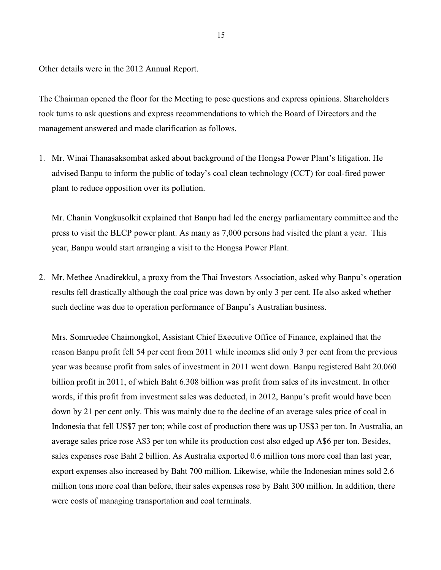Other details were in the 2012 Annual Report.

The Chairman opened the floor for the Meeting to pose questions and express opinions. Shareholders took turns to ask questions and express recommendations to which the Board of Directors and the management answered and made clarification as follows.

1. Mr. Winai Thanasaksombat asked about background of the Hongsa Power Plant's litigation. He advised Banpu to inform the public of today's coal clean technology (CCT) for coal-fired power plant to reduce opposition over its pollution.

Mr. Chanin Vongkusolkit explained that Banpu had led the energy parliamentary committee and the press to visit the BLCP power plant. As many as 7,000 persons had visited the plant a year. This year, Banpu would start arranging a visit to the Hongsa Power Plant.

2. Mr. Methee Anadirekkul, a proxy from the Thai Investors Association, asked why Banpu's operation results fell drastically although the coal price was down by only 3 per cent. He also asked whether such decline was due to operation performance of Banpu's Australian business.

Mrs. Somruedee Chaimongkol, Assistant Chief Executive Office of Finance, explained that the reason Banpu profit fell 54 per cent from 2011 while incomes slid only 3 per cent from the previous year was because profit from sales of investment in 2011 went down. Banpu registered Baht 20.060 billion profit in 2011, of which Baht 6.308 billion was profit from sales of its investment. In other words, if this profit from investment sales was deducted, in 2012, Banpu's profit would have been down by 21 per cent only. This was mainly due to the decline of an average sales price of coal in Indonesia that fell US\$7 per ton; while cost of production there was up US\$3 per ton. In Australia, an average sales price rose A\$3 per ton while its production cost also edged up A\$6 per ton. Besides, sales expenses rose Baht 2 billion. As Australia exported 0.6 million tons more coal than last year, export expenses also increased by Baht 700 million. Likewise, while the Indonesian mines sold 2.6 million tons more coal than before, their sales expenses rose by Baht 300 million. In addition, there were costs of managing transportation and coal terminals.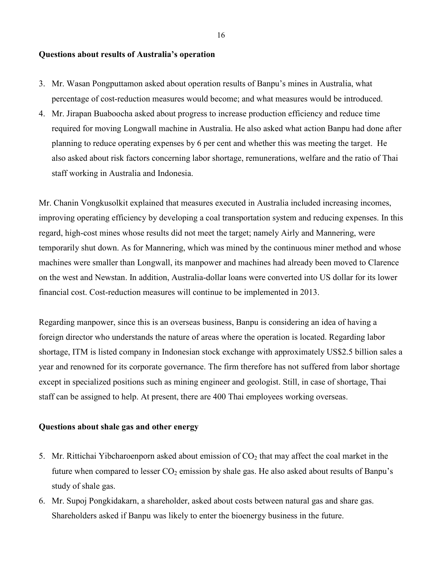### **Questions about results of Australia's operation**

- 3. Mr. Wasan Pongputtamon asked about operation results of Banpu's mines in Australia, what percentage of cost-reduction measures would become; and what measures would be introduced.
- 4. Mr. Jirapan Buaboocha asked about progress to increase production efficiency and reduce time required for moving Longwall machine in Australia. He also asked what action Banpu had done after planning to reduce operating expenses by 6 per cent and whether this was meeting the target. He also asked about risk factors concerning labor shortage, remunerations, welfare and the ratio of Thai staff working in Australia and Indonesia.

Mr. Chanin Vongkusolkit explained that measures executed in Australia included increasing incomes, improving operating efficiency by developing a coal transportation system and reducing expenses. In this regard, high-cost mines whose results did not meet the target; namely Airly and Mannering, were temporarily shut down. As for Mannering, which was mined by the continuous miner method and whose machines were smaller than Longwall, its manpower and machines had already been moved to Clarence on the west and Newstan. In addition, Australia-dollar loans were converted into US dollar for its lower financial cost. Cost-reduction measures will continue to be implemented in 2013.

Regarding manpower, since this is an overseas business, Banpu is considering an idea of having a foreign director who understands the nature of areas where the operation is located. Regarding labor shortage, ITM is listed company in Indonesian stock exchange with approximately US\$2.5 billion sales a year and renowned for its corporate governance. The firm therefore has not suffered from labor shortage except in specialized positions such as mining engineer and geologist. Still, in case of shortage, Thai staff can be assigned to help. At present, there are 400 Thai employees working overseas.

### **Questions about shale gas and other energy**

- 5. Mr. Rittichai Yibcharoenporn asked about emission of  $CO<sub>2</sub>$  that may affect the coal market in the future when compared to lesser  $CO<sub>2</sub>$  emission by shale gas. He also asked about results of Banpu's study of shale gas.
- 6. Mr. Supoj Pongkidakarn, a shareholder, asked about costs between natural gas and share gas. Shareholders asked if Banpu was likely to enter the bioenergy business in the future.

16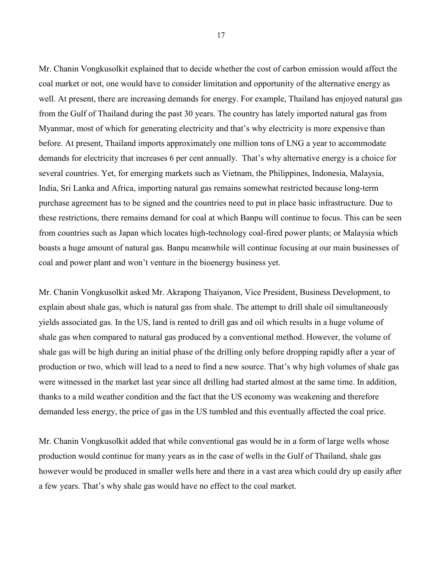Mr. Chanin Vongkusolkit explained that to decide whether the cost of carbon emission would affect the coal market or not, one would have to consider limitation and opportunity of the alternative energy as well. At present, there are increasing demands for energy. For example, Thailand has enjoyed natural gas from the Gulf of Thailand during the past 30 years. The country has lately imported natural gas from Myanmar, most of which for generating electricity and that's why electricity is more expensive than before. At present, Thailand imports approximately one million tons of LNG a year to accommodate demands for electricity that increases 6 per cent annually. That's why alternative energy is a choice for several countries. Yet, for emerging markets such as Vietnam, the Philippines, Indonesia, Malaysia, India, Sri Lanka and Africa, importing natural gas remains somewhat restricted because long-term purchase agreement has to be signed and the countries need to put in place basic infrastructure. Due to these restrictions, there remains demand for coal at which Banpu will continue to focus. This can be seen from countries such as Japan which locates high-technology coal-fired power plants; or Malaysia which boasts a huge amount of natural gas. Banpu meanwhile will continue focusing at our main businesses of coal and power plant and won't venture in the bioenergy business yet.

Mr. Chanin Vongkusolkit asked Mr. Akrapong Thaiyanon, Vice President, Business Development, to explain about shale gas, which is natural gas from shale. The attempt to drill shale oil simultaneously yields associated gas. In the US, land is rented to drill gas and oil which results in a huge volume of shale gas when compared to natural gas produced by a conventional method. However, the volume of shale gas will be high during an initial phase of the drilling only before dropping rapidly after a year of production or two, which will lead to a need to find a new source. That's why high volumes of shale gas were witnessed in the market last year since all drilling had started almost at the same time. In addition, thanks to a mild weather condition and the fact that the US economy was weakening and therefore demanded less energy, the price of gas in the US tumbled and this eventually affected the coal price.

Mr. Chanin Vongkusolkit added that while conventional gas would be in a form of large wells whose production would continue for many years as in the case of wells in the Gulf of Thailand, shale gas however would be produced in smaller wells here and there in a vast area which could dry up easily after a few years. That's why shale gas would have no effect to the coal market.

17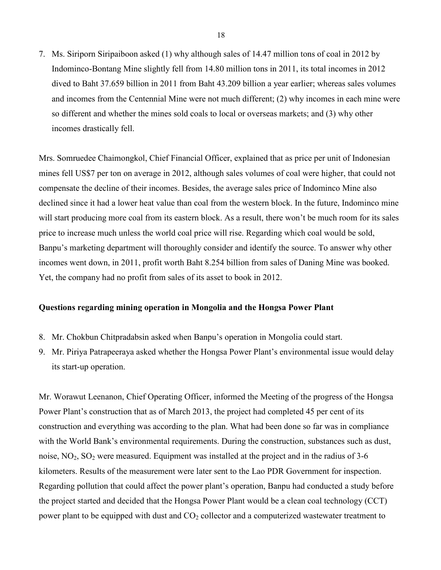7. Ms. Siriporn Siripaiboon asked (1) why although sales of 14.47 million tons of coal in 2012 by Indominco-Bontang Mine slightly fell from 14.80 million tons in 2011, its total incomes in 2012 dived to Baht 37.659 billion in 2011 from Baht 43.209 billion a year earlier; whereas sales volumes and incomes from the Centennial Mine were not much different; (2) why incomes in each mine were so different and whether the mines sold coals to local or overseas markets; and (3) why other incomes drastically fell.

Mrs. Somruedee Chaimongkol, Chief Financial Officer, explained that as price per unit of Indonesian mines fell US\$7 per ton on average in 2012, although sales volumes of coal were higher, that could not compensate the decline of their incomes. Besides, the average sales price of Indominco Mine also declined since it had a lower heat value than coal from the western block. In the future, Indominco mine will start producing more coal from its eastern block. As a result, there won't be much room for its sales price to increase much unless the world coal price will rise. Regarding which coal would be sold, Banpu's marketing department will thoroughly consider and identify the source. To answer why other incomes went down, in 2011, profit worth Baht 8.254 billion from sales of Daning Mine was booked. Yet, the company had no profit from sales of its asset to book in 2012.

### **Questions regarding mining operation in Mongolia and the Hongsa Power Plant**

- 8. Mr. Chokbun Chitpradabsin asked when Banpu's operation in Mongolia could start.
- 9. Mr. Piriya Patrapeeraya asked whether the Hongsa Power Plant's environmental issue would delay its start-up operation.

Mr. Worawut Leenanon, Chief Operating Officer, informed the Meeting of the progress of the Hongsa Power Plant's construction that as of March 2013, the project had completed 45 per cent of its construction and everything was according to the plan. What had been done so far was in compliance with the World Bank's environmental requirements. During the construction, substances such as dust, noise,  $NO<sub>2</sub>$ ,  $SO<sub>2</sub>$  were measured. Equipment was installed at the project and in the radius of 3-6 kilometers. Results of the measurement were later sent to the Lao PDR Government for inspection. Regarding pollution that could affect the power plant's operation, Banpu had conducted a study before the project started and decided that the Hongsa Power Plant would be a clean coal technology (CCT) power plant to be equipped with dust and  $CO<sub>2</sub>$  collector and a computerized wastewater treatment to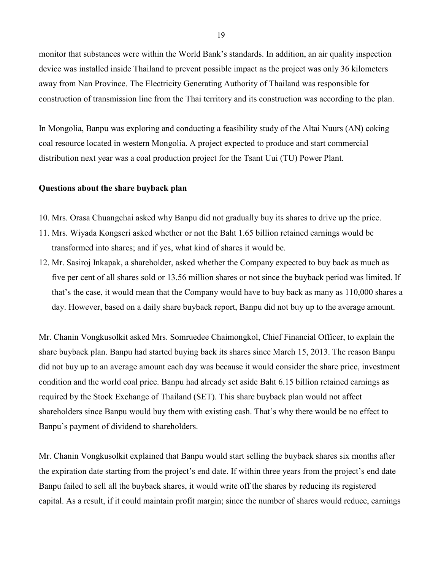monitor that substances were within the World Bank's standards. In addition, an air quality inspection device was installed inside Thailand to prevent possible impact as the project was only 36 kilometers away from Nan Province. The Electricity Generating Authority of Thailand was responsible for construction of transmission line from the Thai territory and its construction was according to the plan.

In Mongolia, Banpu was exploring and conducting a feasibility study of the Altai Nuurs (AN) coking coal resource located in western Mongolia. A project expected to produce and start commercial distribution next year was a coal production project for the Tsant Uui (TU) Power Plant.

### **Questions about the share buyback plan**

- 10. Mrs. Orasa Chuangchai asked why Banpu did not gradually buy its shares to drive up the price.
- 11. Mrs. Wiyada Kongseri asked whether or not the Baht 1.65 billion retained earnings would be transformed into shares; and if yes, what kind of shares it would be.
- 12. Mr. Sasiroj Inkapak, a shareholder, asked whether the Company expected to buy back as much as five per cent of all shares sold or 13.56 million shares or not since the buyback period was limited. If that's the case, it would mean that the Company would have to buy back as many as 110,000 shares a day. However, based on a daily share buyback report, Banpu did not buy up to the average amount.

Mr. Chanin Vongkusolkit asked Mrs. Somruedee Chaimongkol, Chief Financial Officer, to explain the share buyback plan. Banpu had started buying back its shares since March 15, 2013. The reason Banpu did not buy up to an average amount each day was because it would consider the share price, investment condition and the world coal price. Banpu had already set aside Baht 6.15 billion retained earnings as required by the Stock Exchange of Thailand (SET). This share buyback plan would not affect shareholders since Banpu would buy them with existing cash. That's why there would be no effect to Banpu's payment of dividend to shareholders.

Mr. Chanin Vongkusolkit explained that Banpu would start selling the buyback shares six months after the expiration date starting from the project's end date. If within three years from the project's end date Banpu failed to sell all the buyback shares, it would write off the shares by reducing its registered capital. As a result, if it could maintain profit margin; since the number of shares would reduce, earnings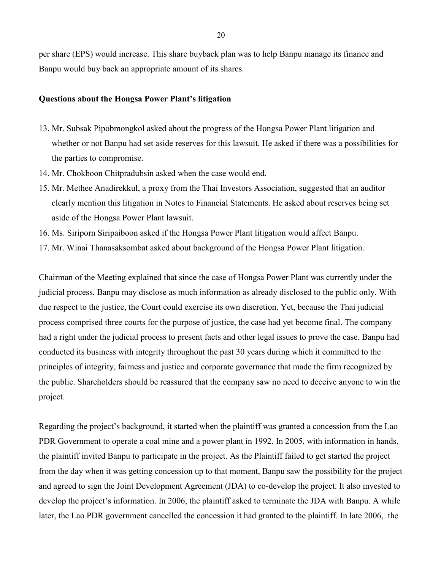per share (EPS) would increase. This share buyback plan was to help Banpu manage its finance and Banpu would buy back an appropriate amount of its shares.

### **Questions about the Hongsa Power Plant's litigation**

- 13. Mr. Subsak Pipobmongkol asked about the progress of the Hongsa Power Plant litigation and whether or not Banpu had set aside reserves for this lawsuit. He asked if there was a possibilities for the parties to compromise.
- 14. Mr. Chokboon Chitpradubsin asked when the case would end.
- 15. Mr. Methee Anadirekkul, a proxy from the Thai Investors Association, suggested that an auditor clearly mention this litigation in Notes to Financial Statements. He asked about reserves being set aside of the Hongsa Power Plant lawsuit.
- 16. Ms. Siriporn Siripaiboon asked if the Hongsa Power Plant litigation would affect Banpu.
- 17. Mr. Winai Thanasaksombat asked about background of the Hongsa Power Plant litigation.

Chairman of the Meeting explained that since the case of Hongsa Power Plant was currently under the judicial process, Banpu may disclose as much information as already disclosed to the public only. With due respect to the justice, the Court could exercise its own discretion. Yet, because the Thai judicial process comprised three courts for the purpose of justice, the case had yet become final. The company had a right under the judicial process to present facts and other legal issues to prove the case. Banpu had conducted its business with integrity throughout the past 30 years during which it committed to the principles of integrity, fairness and justice and corporate governance that made the firm recognized by the public. Shareholders should be reassured that the company saw no need to deceive anyone to win the project.

Regarding the project's background, it started when the plaintiff was granted a concession from the Lao PDR Government to operate a coal mine and a power plant in 1992. In 2005, with information in hands, the plaintiff invited Banpu to participate in the project. As the Plaintiff failed to get started the project from the day when it was getting concession up to that moment, Banpu saw the possibility for the project and agreed to sign the Joint Development Agreement (JDA) to co-develop the project. It also invested to develop the project's information. In 2006, the plaintiff asked to terminate the JDA with Banpu. A while later, the Lao PDR government cancelled the concession it had granted to the plaintiff. In late 2006, the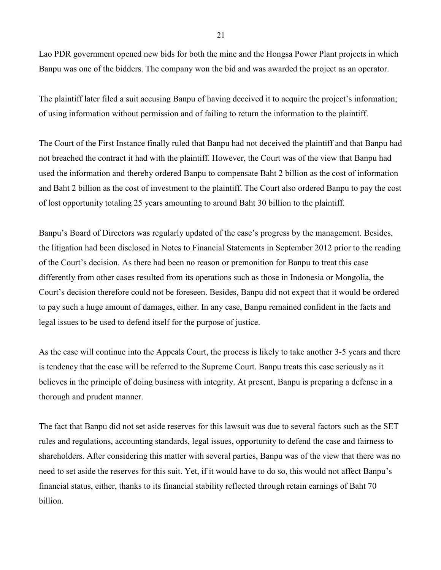Lao PDR government opened new bids for both the mine and the Hongsa Power Plant projects in which Banpu was one of the bidders. The company won the bid and was awarded the project as an operator.

The plaintiff later filed a suit accusing Banpu of having deceived it to acquire the project's information; of using information without permission and of failing to return the information to the plaintiff.

The Court of the First Instance finally ruled that Banpu had not deceived the plaintiff and that Banpu had not breached the contract it had with the plaintiff. However, the Court was of the view that Banpu had used the information and thereby ordered Banpu to compensate Baht 2 billion as the cost of information and Baht 2 billion as the cost of investment to the plaintiff. The Court also ordered Banpu to pay the cost of lost opportunity totaling 25 years amounting to around Baht 30 billion to the plaintiff.

Banpu's Board of Directors was regularly updated of the case's progress by the management. Besides, the litigation had been disclosed in Notes to Financial Statements in September 2012 prior to the reading of the Court's decision. As there had been no reason or premonition for Banpu to treat this case differently from other cases resulted from its operations such as those in Indonesia or Mongolia, the Court's decision therefore could not be foreseen. Besides, Banpu did not expect that it would be ordered to pay such a huge amount of damages, either. In any case, Banpu remained confident in the facts and legal issues to be used to defend itself for the purpose of justice.

As the case will continue into the Appeals Court, the process is likely to take another 3-5 years and there is tendency that the case will be referred to the Supreme Court. Banpu treats this case seriously as it believes in the principle of doing business with integrity. At present, Banpu is preparing a defense in a thorough and prudent manner.

The fact that Banpu did not set aside reserves for this lawsuit was due to several factors such as the SET rules and regulations, accounting standards, legal issues, opportunity to defend the case and fairness to shareholders. After considering this matter with several parties, Banpu was of the view that there was no need to set aside the reserves for this suit. Yet, if it would have to do so, this would not affect Banpu's financial status, either, thanks to its financial stability reflected through retain earnings of Baht 70 billion.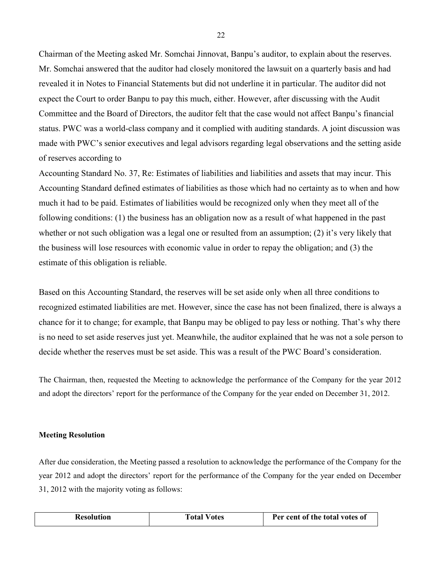Chairman of the Meeting asked Mr. Somchai Jinnovat, Banpu's auditor, to explain about the reserves. Mr. Somchai answered that the auditor had closely monitored the lawsuit on a quarterly basis and had revealed it in Notes to Financial Statements but did not underline it in particular. The auditor did not expect the Court to order Banpu to pay this much, either. However, after discussing with the Audit Committee and the Board of Directors, the auditor felt that the case would not affect Banpu's financial status. PWC was a world-class company and it complied with auditing standards. A joint discussion was made with PWC's senior executives and legal advisors regarding legal observations and the setting aside of reserves according to

Accounting Standard No. 37, Re: Estimates of liabilities and liabilities and assets that may incur. This Accounting Standard defined estimates of liabilities as those which had no certainty as to when and how much it had to be paid. Estimates of liabilities would be recognized only when they meet all of the following conditions: (1) the business has an obligation now as a result of what happened in the past whether or not such obligation was a legal one or resulted from an assumption; (2) it's very likely that the business will lose resources with economic value in order to repay the obligation; and (3) the estimate of this obligation is reliable.

Based on this Accounting Standard, the reserves will be set aside only when all three conditions to recognized estimated liabilities are met. However, since the case has not been finalized, there is always a chance for it to change; for example, that Banpu may be obliged to pay less or nothing. That's why there is no need to set aside reserves just yet. Meanwhile, the auditor explained that he was not a sole person to decide whether the reserves must be set aside. This was a result of the PWC Board's consideration.

The Chairman, then, requested the Meeting to acknowledge the performance of the Company for the year 2012 and adopt the directors' report for the performance of the Company for the year ended on December 31, 2012.

#### **Meeting Resolution**

After due consideration, the Meeting passed a resolution to acknowledge the performance of the Company for the year 2012 and adopt the directors' report for the performance of the Company for the year ended on December 31, 2012 with the majority voting as follows:

|  | <b>Resolution</b> | <b>Total Votes</b> | Per cent of the total votes of |
|--|-------------------|--------------------|--------------------------------|
|--|-------------------|--------------------|--------------------------------|

22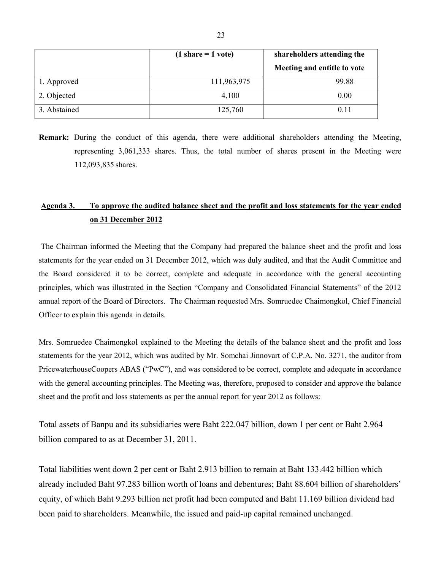|              | $(1 share = 1 vote)$ | shareholders attending the  |
|--------------|----------------------|-----------------------------|
|              |                      | Meeting and entitle to vote |
| 1. Approved  | 111,963,975          | 99.88                       |
| 2. Objected  | 4,100                | 0.00                        |
| 3. Abstained | 125,760              | 0.11                        |

**Remark:** During the conduct of this agenda, there were additional shareholders attending the Meeting, representing 3,061,333 shares. Thus, the total number of shares present in the Meeting were 112,093,835 shares.

# **Agenda 3. To approve the audited balance sheet and the profit and loss statements for the year ended on 31 December 2012**

The Chairman informed the Meeting that the Company had prepared the balance sheet and the profit and loss statements for the year ended on 31 December 2012, which was duly audited, and that the Audit Committee and the Board considered it to be correct, complete and adequate in accordance with the general accounting principles, which was illustrated in the Section "Company and Consolidated Financial Statements" of the 2012 annual report of the Board of Directors. The Chairman requested Mrs. Somruedee Chaimongkol, Chief Financial Officer to explain this agenda in details.

Mrs. Somruedee Chaimongkol explained to the Meeting the details of the balance sheet and the profit and loss statements for the year 2012, which was audited by Mr. Somchai Jinnovart of C.P.A. No. 3271, the auditor from PricewaterhouseCoopers ABAS ("PwC"), and was considered to be correct, complete and adequate in accordance with the general accounting principles. The Meeting was, therefore, proposed to consider and approve the balance sheet and the profit and loss statements as per the annual report for year 2012 as follows:

Total assets of Banpu and its subsidiaries were Baht 222.047 billion, down 1 per cent or Baht 2.964 billion compared to as at December 31, 2011.

Total liabilities went down 2 per cent or Baht 2.913 billion to remain at Baht 133.442 billion which already included Baht 97.283 billion worth of loans and debentures; Baht 88.604 billion of shareholders' equity, of which Baht 9.293 billion net profit had been computed and Baht 11.169 billion dividend had been paid to shareholders. Meanwhile, the issued and paid-up capital remained unchanged.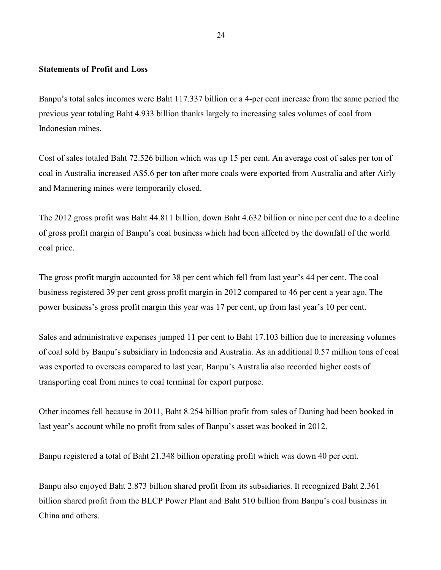### **Statements of Profit and Loss**

Banpu's total sales incomes were Baht 117.337 billion or a 4-per cent increase from the same period the previous year totaling Baht 4.933 billion thanks largely to increasing sales volumes of coal from Indonesian mines.

Cost of sales totaled Baht 72.526 billion which was up 15 per cent. An average cost of sales per ton of coal in Australia increased A\$5.6 per ton after more coals were exported from Australia and after Airly and Mannering mines were temporarily closed.

The 2012 gross profit was Baht 44.811 billion, down Baht 4.632 billion or nine per cent due to a decline of gross profit margin of Banpu's coal business which had been affected by the downfall of the world coal price.

The gross profit margin accounted for 38 per cent which fell from last year's 44 per cent. The coal business registered 39 per cent gross profit margin in 2012 compared to 46 per cent a year ago. The power business's gross profit margin this year was 17 per cent, up from last year's 10 per cent.

Sales and administrative expenses jumped 11 per cent to Baht 17.103 billion due to increasing volumes of coal sold by Banpu's subsidiary in Indonesia and Australia. As an additional 0.57 million tons of coal was exported to overseas compared to last year, Banpu's Australia also recorded higher costs of transporting coal from mines to coal terminal for export purpose.

Other incomes fell because in 2011, Baht 8.254 billion profit from sales of Daning had been booked in last year's account while no profit from sales of Banpu's asset was booked in 2012.

Banpu registered a total of Baht 21.348 billion operating profit which was down 40 per cent.

Banpu also enjoyed Baht 2.873 billion shared profit from its subsidiaries. It recognized Baht 2.361 billion shared profit from the BLCP Power Plant and Baht 510 billion from Banpu's coal business in China and others.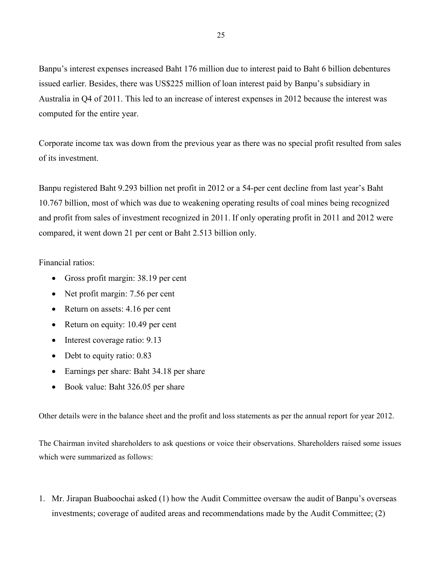Banpu's interest expenses increased Baht 176 million due to interest paid to Baht 6 billion debentures issued earlier. Besides, there was US\$225 million of loan interest paid by Banpu's subsidiary in Australia in Q4 of 2011. This led to an increase of interest expenses in 2012 because the interest was computed for the entire year.

Corporate income tax was down from the previous year as there was no special profit resulted from sales of its investment.

Banpu registered Baht 9.293 billion net profit in 2012 or a 54-per cent decline from last year's Baht 10.767 billion, most of which was due to weakening operating results of coal mines being recognized and profit from sales of investment recognized in 2011. If only operating profit in 2011 and 2012 were compared, it went down 21 per cent or Baht 2.513 billion only.

Financial ratios:

- Gross profit margin: 38.19 per cent
- Net profit margin: 7.56 per cent
- Return on assets: 4.16 per cent
- Return on equity: 10.49 per cent
- Interest coverage ratio: 9.13
- Debt to equity ratio: 0.83
- Earnings per share: Baht 34.18 per share
- Book value: Baht 326.05 per share

Other details were in the balance sheet and the profit and loss statements as per the annual report for year 2012.

The Chairman invited shareholders to ask questions or voice their observations. Shareholders raised some issues which were summarized as follows:

1. Mr. Jirapan Buaboochai asked (1) how the Audit Committee oversaw the audit of Banpu's overseas investments; coverage of audited areas and recommendations made by the Audit Committee; (2)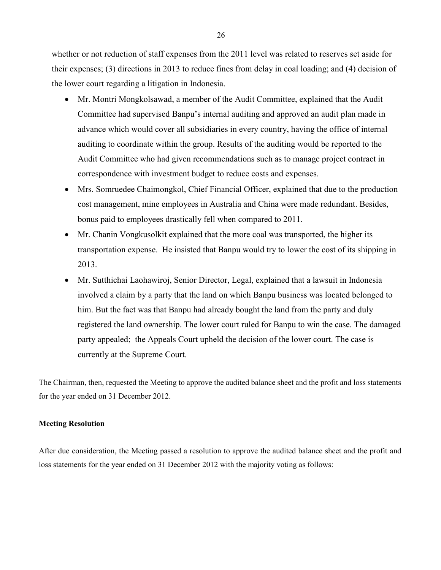whether or not reduction of staff expenses from the 2011 level was related to reserves set aside for their expenses; (3) directions in 2013 to reduce fines from delay in coal loading; and (4) decision of the lower court regarding a litigation in Indonesia.

- Mr. Montri Mongkolsawad, a member of the Audit Committee, explained that the Audit Committee had supervised Banpu's internal auditing and approved an audit plan made in advance which would cover all subsidiaries in every country, having the office of internal auditing to coordinate within the group. Results of the auditing would be reported to the Audit Committee who had given recommendations such as to manage project contract in correspondence with investment budget to reduce costs and expenses.
- Mrs. Somruedee Chaimongkol, Chief Financial Officer, explained that due to the production cost management, mine employees in Australia and China were made redundant. Besides, bonus paid to employees drastically fell when compared to 2011.
- Mr. Chanin Vongkusolkit explained that the more coal was transported, the higher its transportation expense. He insisted that Banpu would try to lower the cost of its shipping in 2013.
- Mr. Sutthichai Laohawiroj, Senior Director, Legal, explained that a lawsuit in Indonesia involved a claim by a party that the land on which Banpu business was located belonged to him. But the fact was that Banpu had already bought the land from the party and duly registered the land ownership. The lower court ruled for Banpu to win the case. The damaged party appealed; the Appeals Court upheld the decision of the lower court. The case is currently at the Supreme Court.

The Chairman, then, requested the Meeting to approve the audited balance sheet and the profit and loss statements for the year ended on 31 December 2012.

### **Meeting Resolution**

After due consideration, the Meeting passed a resolution to approve the audited balance sheet and the profit and loss statements for the year ended on 31 December 2012 with the majority voting as follows: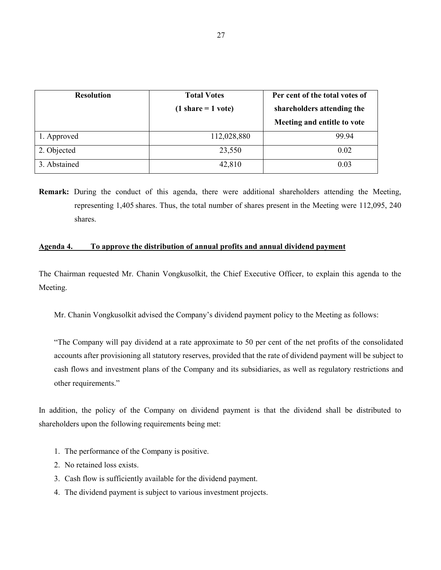| <b>Resolution</b> | <b>Total Votes</b><br>$(1 share = 1 vote)$ | Per cent of the total votes of<br>shareholders attending the<br>Meeting and entitle to vote |
|-------------------|--------------------------------------------|---------------------------------------------------------------------------------------------|
| 1. Approved       | 112,028,880                                | 99.94                                                                                       |
| 2. Objected       | 23,550                                     | 0.02                                                                                        |
| 3. Abstained      | 42,810                                     | 0.03                                                                                        |

**Remark:** During the conduct of this agenda, there were additional shareholders attending the Meeting, representing 1,405 shares. Thus, the total number of shares present in the Meeting were 112,095, 240 shares.

### **Agenda 4. To approve the distribution of annual profits and annual dividend payment**

The Chairman requested Mr. Chanin Vongkusolkit, the Chief Executive Officer, to explain this agenda to the Meeting.

Mr. Chanin Vongkusolkit advised the Company's dividend payment policy to the Meeting as follows:

"The Company will pay dividend at a rate approximate to 50 per cent of the net profits of the consolidated accounts after provisioning all statutory reserves, provided that the rate of dividend payment will be subject to cash flows and investment plans of the Company and its subsidiaries, as well as regulatory restrictions and other requirements."

In addition, the policy of the Company on dividend payment is that the dividend shall be distributed to shareholders upon the following requirements being met:

- 1. The performance of the Company is positive.
- 2. No retained loss exists.
- 3. Cash flow is sufficiently available for the dividend payment.
- 4. The dividend payment is subject to various investment projects.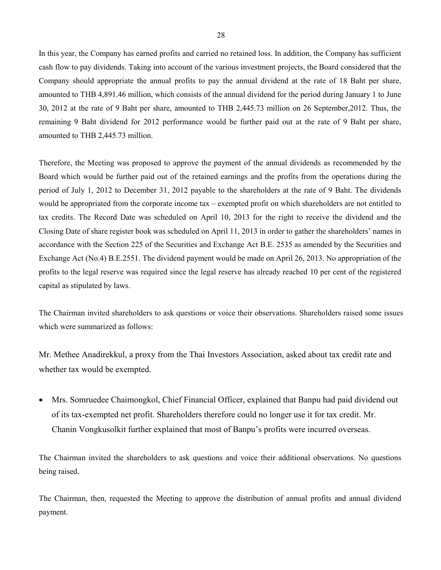In this year, the Company has earned profits and carried no retained loss. In addition, the Company has sufficient cash flow to pay dividends. Taking into account of the various investment projects, the Board considered that the Company should appropriate the annual profits to pay the annual dividend at the rate of 18 Baht per share, amounted to THB 4,891.46 million, which consists of the annual dividend for the period during January 1 to June 30, 2012 at the rate of 9 Baht per share, amounted to THB 2,445.73 million on 26 September,2012. Thus, the remaining 9 Baht dividend for 2012 performance would be further paid out at the rate of 9 Baht per share, amounted to THB 2,445.73 million.

Therefore, the Meeting was proposed to approve the payment of the annual dividends as recommended by the Board which would be further paid out of the retained earnings and the profits from the operations during the period of July 1, 2012 to December 31, 2012 payable to the shareholders at the rate of 9 Baht. The dividends would be appropriated from the corporate income tax – exempted profit on which shareholders are not entitled to tax credits. The Record Date was scheduled on April 10, 2013 for the right to receive the dividend and the Closing Date of share register book was scheduled on April 11, 2013 in order to gather the shareholders' names in accordance with the Section 225 of the Securities and Exchange Act B.E. 2535 as amended by the Securities and Exchange Act (No.4) B.E.2551. The dividend payment would be made on April 26, 2013. No appropriation of the profits to the legal reserve was required since the legal reserve has already reached 10 per cent of the registered capital as stipulated by laws.

The Chairman invited shareholders to ask questions or voice their observations. Shareholders raised some issues which were summarized as follows:

Mr. Methee Anadirekkul, a proxy from the Thai Investors Association, asked about tax credit rate and whether tax would be exempted.

• Mrs. Somruedee Chaimongkol, Chief Financial Officer, explained that Banpu had paid dividend out of its tax-exempted net profit. Shareholders therefore could no longer use it for tax credit. Mr. Chanin Vongkusolkit further explained that most of Banpu's profits were incurred overseas.

The Chairman invited the shareholders to ask questions and voice their additional observations. No questions being raised.

The Chairman, then, requested the Meeting to approve the distribution of annual profits and annual dividend payment.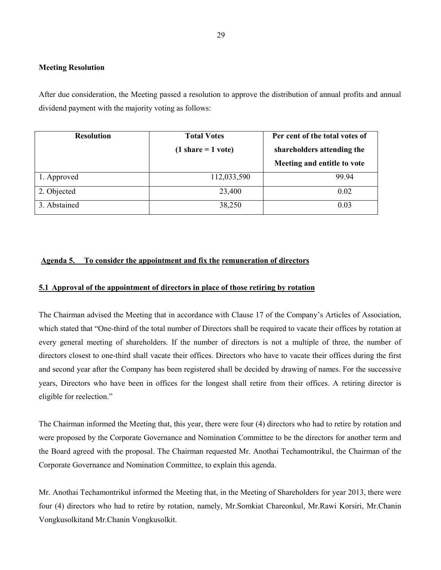### **Meeting Resolution**

After due consideration, the Meeting passed a resolution to approve the distribution of annual profits and annual dividend payment with the majority voting as follows:

| <b>Resolution</b> | <b>Total Votes</b>   | Per cent of the total votes of |
|-------------------|----------------------|--------------------------------|
|                   | $(1 share = 1 vote)$ | shareholders attending the     |
|                   |                      | Meeting and entitle to vote    |
| 1. Approved       | 112,033,590          | 99.94                          |
| 2. Objected       | 23,400               | 0.02                           |
| 3. Abstained      | 38,250               | 0.03                           |

### **Agenda 5. To consider the appointment and fix the remuneration of directors**

### **5.1 Approval of the appointment of directors in place of those retiring by rotation**

The Chairman advised the Meeting that in accordance with Clause 17 of the Company's Articles of Association, which stated that "One-third of the total number of Directors shall be required to vacate their offices by rotation at every general meeting of shareholders. If the number of directors is not a multiple of three, the number of directors closest to one-third shall vacate their offices. Directors who have to vacate their offices during the first and second year after the Company has been registered shall be decided by drawing of names. For the successive years, Directors who have been in offices for the longest shall retire from their offices. A retiring director is eligible for reelection."

The Chairman informed the Meeting that, this year, there were four (4) directors who had to retire by rotation and were proposed by the Corporate Governance and Nomination Committee to be the directors for another term and the Board agreed with the proposal. The Chairman requested Mr. Anothai Techamontrikul, the Chairman of the Corporate Governance and Nomination Committee, to explain this agenda.

Mr. Anothai Techamontrikul informed the Meeting that, in the Meeting of Shareholders for year 2013, there were four (4) directors who had to retire by rotation, namely, Mr.Somkiat Chareonkul, Mr.Rawi Korsiri, Mr.Chanin Vongkusolkitand Mr.Chanin Vongkusolkit.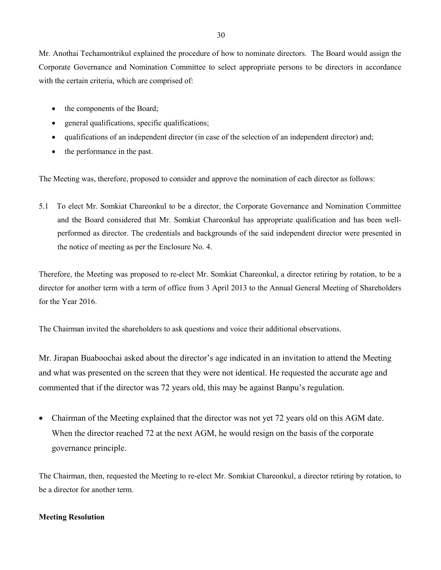Mr. Anothai Techamontrikul explained the procedure of how to nominate directors. The Board would assign the Corporate Governance and Nomination Committee to select appropriate persons to be directors in accordance with the certain criteria, which are comprised of:

- the components of the Board;
- general qualifications, specific qualifications;
- qualifications of an independent director (in case of the selection of an independent director) and;
- the performance in the past.

The Meeting was, therefore, proposed to consider and approve the nomination of each director as follows:

5.1 To elect Mr. Somkiat Chareonkul to be a director, the Corporate Governance and Nomination Committee and the Board considered that Mr. Somkiat Chareonkul has appropriate qualification and has been wellperformed as director. The credentials and backgrounds of the said independent director were presented in the notice of meeting as per the Enclosure No. 4.

Therefore, the Meeting was proposed to re-elect Mr. Somkiat Chareonkul, a director retiring by rotation, to be a director for another term with a term of office from 3 April 2013 to the Annual General Meeting of Shareholders for the Year 2016.

The Chairman invited the shareholders to ask questions and voice their additional observations.

Mr. Jirapan Buaboochai asked about the director's age indicated in an invitation to attend the Meeting and what was presented on the screen that they were not identical. He requested the accurate age and commented that if the director was 72 years old, this may be against Banpu's regulation.

• Chairman of the Meeting explained that the director was not yet 72 years old on this AGM date. When the director reached 72 at the next AGM, he would resign on the basis of the corporate governance principle.

The Chairman, then, requested the Meeting to re-elect Mr. Somkiat Chareonkul, a director retiring by rotation, to be a director for another term.

### **Meeting Resolution**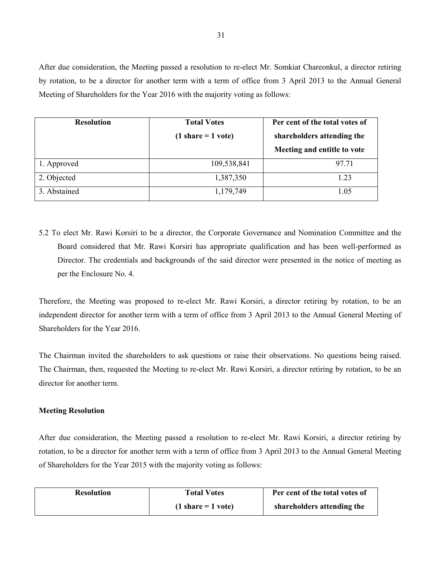After due consideration, the Meeting passed a resolution to re-elect Mr. Somkiat Chareonkul, a director retiring by rotation, to be a director for another term with a term of office from 3 April 2013 to the Annual General Meeting of Shareholders for the Year 2016 with the majority voting as follows:

| <b>Resolution</b> | <b>Total Votes</b>   | Per cent of the total votes of |
|-------------------|----------------------|--------------------------------|
|                   | $(1 share = 1 vote)$ | shareholders attending the     |
|                   |                      | Meeting and entitle to vote    |
| 1. Approved       | 109,538,841          | 97.71                          |
| 2. Objected       | 1,387,350            | 1.23                           |
| 3. Abstained      | 1,179,749            | 1.05                           |

5.2 To elect Mr. Rawi Korsiri to be a director, the Corporate Governance and Nomination Committee and the Board considered that Mr. Rawi Korsiri has appropriate qualification and has been well-performed as Director. The credentials and backgrounds of the said director were presented in the notice of meeting as per the Enclosure No. 4.

Therefore, the Meeting was proposed to re-elect Mr. Rawi Korsiri, a director retiring by rotation, to be an independent director for another term with a term of office from 3 April 2013 to the Annual General Meeting of Shareholders for the Year 2016.

The Chairman invited the shareholders to ask questions or raise their observations. No questions being raised. The Chairman, then, requested the Meeting to re-elect Mr. Rawi Korsiri, a director retiring by rotation, to be an director for another term.

#### **Meeting Resolution**

After due consideration, the Meeting passed a resolution to re-elect Mr. Rawi Korsiri, a director retiring by rotation, to be a director for another term with a term of office from 3 April 2013 to the Annual General Meeting of Shareholders for the Year 2015 with the majority voting as follows:

| <b>Resolution</b> | <b>Total Votes</b>                   | Per cent of the total votes of |
|-------------------|--------------------------------------|--------------------------------|
|                   | $(1 \text{ share} = 1 \text{ vote})$ | shareholders attending the     |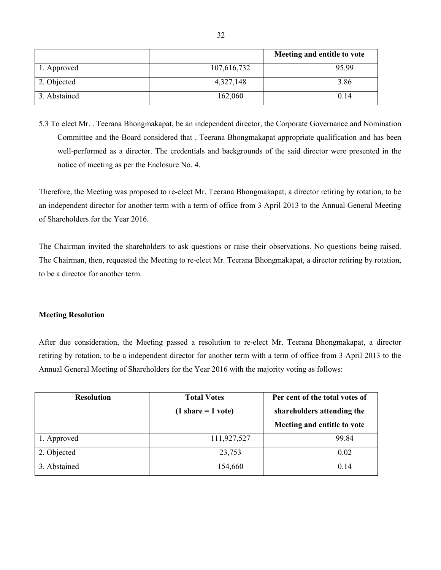|              |             | Meeting and entitle to vote |
|--------------|-------------|-----------------------------|
| 1. Approved  | 107,616,732 | 95.99                       |
| 2. Objected  | 4,327,148   | 3.86                        |
| 3. Abstained | 162,060     | 0.14                        |

5.3 To elect Mr. . Teerana Bhongmakapat, be an independent director, the Corporate Governance and Nomination Committee and the Board considered that . Teerana Bhongmakapat appropriate qualification and has been well-performed as a director. The credentials and backgrounds of the said director were presented in the notice of meeting as per the Enclosure No. 4.

Therefore, the Meeting was proposed to re-elect Mr. Teerana Bhongmakapat, a director retiring by rotation, to be an independent director for another term with a term of office from 3 April 2013 to the Annual General Meeting of Shareholders for the Year 2016.

The Chairman invited the shareholders to ask questions or raise their observations. No questions being raised. The Chairman, then, requested the Meeting to re-elect Mr. Teerana Bhongmakapat, a director retiring by rotation, to be a director for another term.

### **Meeting Resolution**

After due consideration, the Meeting passed a resolution to re-elect Mr. Teerana Bhongmakapat, a director retiring by rotation, to be a independent director for another term with a term of office from 3 April 2013 to the Annual General Meeting of Shareholders for the Year 2016 with the majority voting as follows:

| <b>Resolution</b> | <b>Total Votes</b>   | Per cent of the total votes of |
|-------------------|----------------------|--------------------------------|
|                   | $(1 share = 1 vote)$ | shareholders attending the     |
|                   |                      | Meeting and entitle to vote    |
| 1. Approved       | 111,927,527          | 99.84                          |
| 2. Objected       | 23,753               | 0.02                           |
| 3. Abstained      | 154,660              | 0.14                           |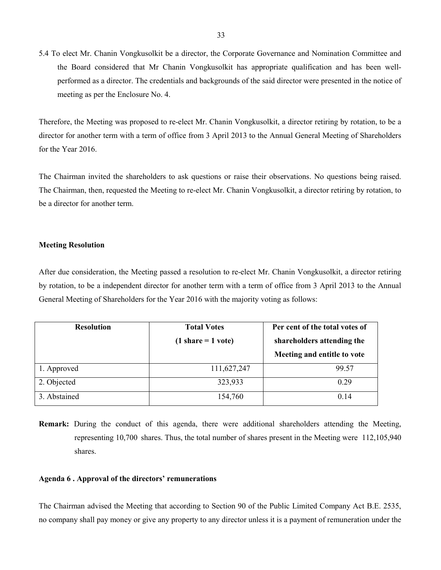5.4 To elect Mr. Chanin Vongkusolkit be a director, the Corporate Governance and Nomination Committee and the Board considered that Mr Chanin Vongkusolkit has appropriate qualification and has been wellperformed as a director. The credentials and backgrounds of the said director were presented in the notice of meeting as per the Enclosure No. 4.

Therefore, the Meeting was proposed to re-elect Mr. Chanin Vongkusolkit, a director retiring by rotation, to be a director for another term with a term of office from 3 April 2013 to the Annual General Meeting of Shareholders for the Year 2016.

The Chairman invited the shareholders to ask questions or raise their observations. No questions being raised. The Chairman, then, requested the Meeting to re-elect Mr. Chanin Vongkusolkit, a director retiring by rotation, to be a director for another term.

#### **Meeting Resolution**

After due consideration, the Meeting passed a resolution to re-elect Mr. Chanin Vongkusolkit, a director retiring by rotation, to be a independent director for another term with a term of office from 3 April 2013 to the Annual General Meeting of Shareholders for the Year 2016 with the majority voting as follows:

| <b>Resolution</b> | <b>Total Votes</b>                   | Per cent of the total votes of |
|-------------------|--------------------------------------|--------------------------------|
|                   | $(1 \text{ share} = 1 \text{ vote})$ | shareholders attending the     |
|                   |                                      | Meeting and entitle to vote    |
| 1. Approved       | 111,627,247                          | 99.57                          |
| 2. Objected       | 323,933                              | 0.29                           |
| 3. Abstained      | 154,760                              | 0.14                           |

**Remark:** During the conduct of this agenda, there were additional shareholders attending the Meeting, representing 10,700 shares. Thus, the total number of shares present in the Meeting were 112,105,940 shares.

#### **Agenda 6 . Approval of the directors' remunerations**

The Chairman advised the Meeting that according to Section 90 of the Public Limited Company Act B.E. 2535, no company shall pay money or give any property to any director unless it is a payment of remuneration under the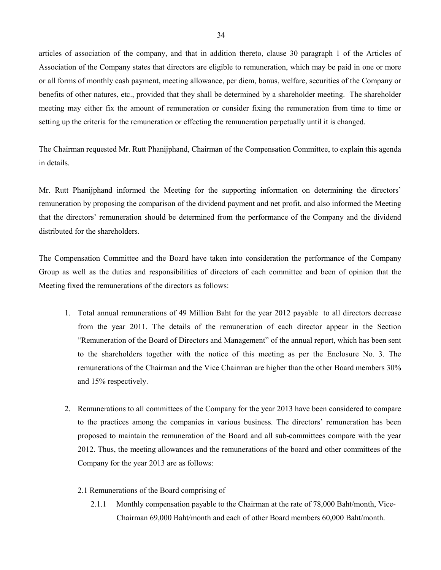articles of association of the company, and that in addition thereto, clause 30 paragraph 1 of the Articles of Association of the Company states that directors are eligible to remuneration, which may be paid in one or more or all forms of monthly cash payment, meeting allowance, per diem, bonus, welfare, securities of the Company or benefits of other natures, etc., provided that they shall be determined by a shareholder meeting. The shareholder meeting may either fix the amount of remuneration or consider fixing the remuneration from time to time or setting up the criteria for the remuneration or effecting the remuneration perpetually until it is changed.

The Chairman requested Mr. Rutt Phanijphand, Chairman of the Compensation Committee, to explain this agenda in details.

Mr. Rutt Phanijphand informed the Meeting for the supporting information on determining the directors' remuneration by proposing the comparison of the dividend payment and net profit, and also informed the Meeting that the directors' remuneration should be determined from the performance of the Company and the dividend distributed for the shareholders.

The Compensation Committee and the Board have taken into consideration the performance of the Company Group as well as the duties and responsibilities of directors of each committee and been of opinion that the Meeting fixed the remunerations of the directors as follows:

- 1. Total annual remunerations of 49 Million Baht for the year 2012 payable to all directors decrease from the year 2011. The details of the remuneration of each director appear in the Section "Remuneration of the Board of Directors and Management" of the annual report, which has been sent to the shareholders together with the notice of this meeting as per the Enclosure No. 3. The remunerations of the Chairman and the Vice Chairman are higher than the other Board members 30% and 15% respectively.
- 2. Remunerations to all committees of the Company for the year 2013 have been considered to compare to the practices among the companies in various business. The directors' remuneration has been proposed to maintain the remuneration of the Board and all sub-committees compare with the year 2012. Thus, the meeting allowances and the remunerations of the board and other committees of the Company for the year 2013 are as follows:
	- 2.1 Remunerations of the Board comprising of
		- 2.1.1 Monthly compensation payable to the Chairman at the rate of 78,000 Baht/month, Vice-Chairman 69,000 Baht/month and each of other Board members 60,000 Baht/month.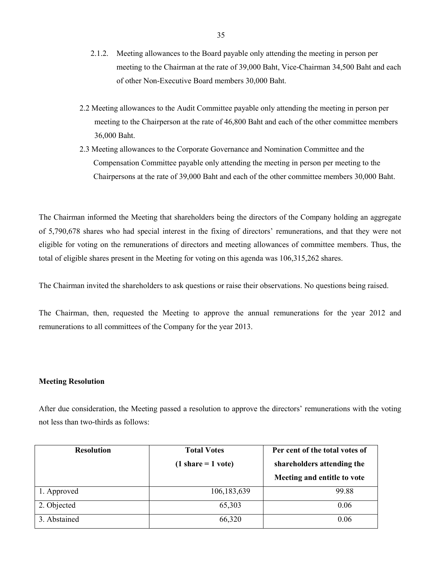- 2.1.2. Meeting allowances to the Board payable only attending the meeting in person per meeting to the Chairman at the rate of 39,000 Baht, Vice-Chairman 34,500 Baht and each of other Non-Executive Board members 30,000 Baht.
- 2.2 Meeting allowances to the Audit Committee payable only attending the meeting in person per meeting to the Chairperson at the rate of 46,800 Baht and each of the other committee members 36,000 Baht.
- 2.3 Meeting allowances to the Corporate Governance and Nomination Committee and the Compensation Committee payable only attending the meeting in person per meeting to the Chairpersons at the rate of 39,000 Baht and each of the other committee members 30,000 Baht.

The Chairman informed the Meeting that shareholders being the directors of the Company holding an aggregate of 5,790,678 shares who had special interest in the fixing of directors' remunerations, and that they were not eligible for voting on the remunerations of directors and meeting allowances of committee members. Thus, the total of eligible shares present in the Meeting for voting on this agenda was 106,315,262 shares.

The Chairman invited the shareholders to ask questions or raise their observations. No questions being raised.

The Chairman, then, requested the Meeting to approve the annual remunerations for the year 2012 and remunerations to all committees of the Company for the year 2013.

### **Meeting Resolution**

After due consideration, the Meeting passed a resolution to approve the directors' remunerations with the voting not less than two-thirds as follows:

| <b>Resolution</b> | <b>Total Votes</b>   | Per cent of the total votes of |
|-------------------|----------------------|--------------------------------|
|                   | $(1 share = 1 vote)$ | shareholders attending the     |
|                   |                      | Meeting and entitle to vote    |
| 1. Approved       | 106, 183, 639        | 99.88                          |
| 2. Objected       | 65,303               | 0.06                           |
| 3. Abstained      | 66,320               | 0.06                           |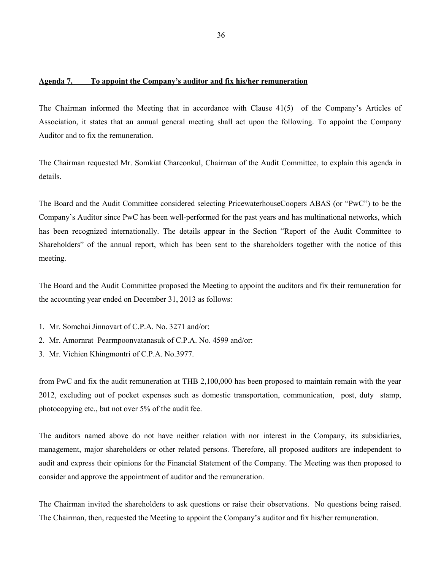### **Agenda 7. To appoint the Company's auditor and fix his/her remuneration**

The Chairman informed the Meeting that in accordance with Clause 41(5) of the Company's Articles of Association, it states that an annual general meeting shall act upon the following. To appoint the Company Auditor and to fix the remuneration.

The Chairman requested Mr. Somkiat Chareonkul, Chairman of the Audit Committee, to explain this agenda in details.

The Board and the Audit Committee considered selecting PricewaterhouseCoopers ABAS (or "PwC") to be the Company's Auditor since PwC has been well-performed for the past years and has multinational networks, which has been recognized internationally. The details appear in the Section "Report of the Audit Committee to Shareholders" of the annual report, which has been sent to the shareholders together with the notice of this meeting.

The Board and the Audit Committee proposed the Meeting to appoint the auditors and fix their remuneration for the accounting year ended on December 31, 2013 as follows:

- 1. Mr. Somchai Jinnovart of C.P.A. No. 3271 and/or:
- 2. Mr. Amornrat Pearmpoonvatanasuk of C.P.A. No. 4599 and/or:
- 3. Mr. Vichien Khingmontri of C.P.A. No.3977.

from PwC and fix the audit remuneration at THB 2,100,000 has been proposed to maintain remain with the year 2012, excluding out of pocket expenses such as domestic transportation, communication, post, duty stamp, photocopying etc., but not over 5% of the audit fee.

The auditors named above do not have neither relation with nor interest in the Company, its subsidiaries, management, major shareholders or other related persons. Therefore, all proposed auditors are independent to audit and express their opinions for the Financial Statement of the Company. The Meeting was then proposed to consider and approve the appointment of auditor and the remuneration.

The Chairman invited the shareholders to ask questions or raise their observations. No questions being raised. The Chairman, then, requested the Meeting to appoint the Company's auditor and fix his/her remuneration.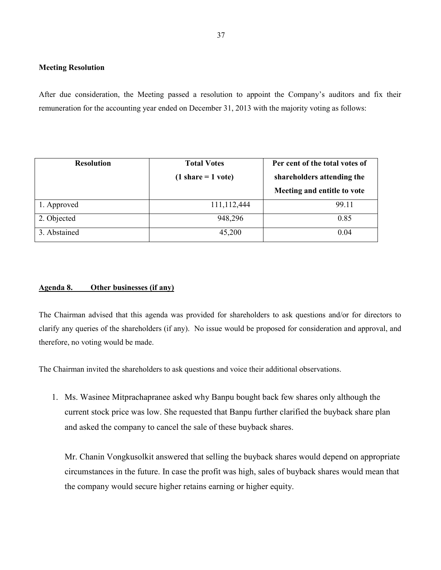### **Meeting Resolution**

After due consideration, the Meeting passed a resolution to appoint the Company's auditors and fix their remuneration for the accounting year ended on December 31, 2013 with the majority voting as follows:

| <b>Resolution</b> | <b>Total Votes</b>   | Per cent of the total votes of |
|-------------------|----------------------|--------------------------------|
|                   | $(1 share = 1 vote)$ | shareholders attending the     |
|                   |                      | Meeting and entitle to vote    |
| 1. Approved       | 111,112,444          | 99.11                          |
| 2. Objected       | 948,296              | 0.85                           |
| 3. Abstained      | 45,200               | 0.04                           |

### **Agenda 8. Other businesses (if any)**

The Chairman advised that this agenda was provided for shareholders to ask questions and/or for directors to clarify any queries of the shareholders (if any). No issue would be proposed for consideration and approval, and therefore, no voting would be made.

The Chairman invited the shareholders to ask questions and voice their additional observations.

1. Ms. Wasinee Mitprachapranee asked why Banpu bought back few shares only although the current stock price was low. She requested that Banpu further clarified the buyback share plan and asked the company to cancel the sale of these buyback shares.

Mr. Chanin Vongkusolkit answered that selling the buyback shares would depend on appropriate circumstances in the future. In case the profit was high, sales of buyback shares would mean that the company would secure higher retains earning or higher equity.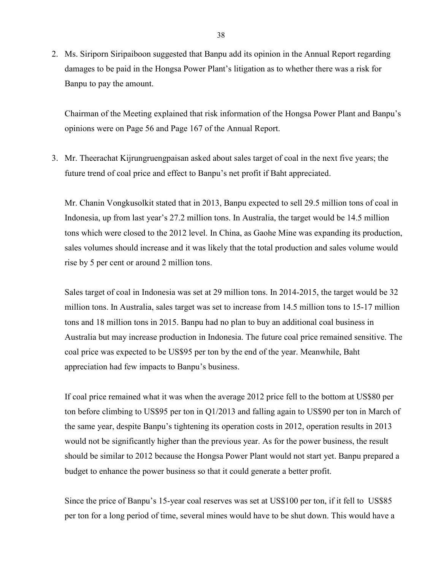2. Ms. Siriporn Siripaiboon suggested that Banpu add its opinion in the Annual Report regarding damages to be paid in the Hongsa Power Plant's litigation as to whether there was a risk for Banpu to pay the amount.

Chairman of the Meeting explained that risk information of the Hongsa Power Plant and Banpu's opinions were on Page 56 and Page 167 of the Annual Report.

3. Mr. Theerachat Kijrungruengpaisan asked about sales target of coal in the next five years; the future trend of coal price and effect to Banpu's net profit if Baht appreciated.

Mr. Chanin Vongkusolkit stated that in 2013, Banpu expected to sell 29.5 million tons of coal in Indonesia, up from last year's 27.2 million tons. In Australia, the target would be 14.5 million tons which were closed to the 2012 level. In China, as Gaohe Mine was expanding its production, sales volumes should increase and it was likely that the total production and sales volume would rise by 5 per cent or around 2 million tons.

Sales target of coal in Indonesia was set at 29 million tons. In 2014-2015, the target would be 32 million tons. In Australia, sales target was set to increase from 14.5 million tons to 15-17 million tons and 18 million tons in 2015. Banpu had no plan to buy an additional coal business in Australia but may increase production in Indonesia. The future coal price remained sensitive. The coal price was expected to be US\$95 per ton by the end of the year. Meanwhile, Baht appreciation had few impacts to Banpu's business.

If coal price remained what it was when the average 2012 price fell to the bottom at US\$80 per ton before climbing to US\$95 per ton in Q1/2013 and falling again to US\$90 per ton in March of the same year, despite Banpu's tightening its operation costs in 2012, operation results in 2013 would not be significantly higher than the previous year. As for the power business, the result should be similar to 2012 because the Hongsa Power Plant would not start yet. Banpu prepared a budget to enhance the power business so that it could generate a better profit.

Since the price of Banpu's 15-year coal reserves was set at US\$100 per ton, if it fell to US\$85 per ton for a long period of time, several mines would have to be shut down. This would have a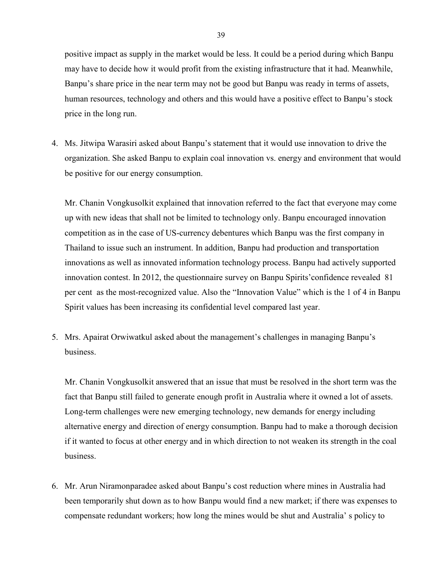positive impact as supply in the market would be less. It could be a period during which Banpu may have to decide how it would profit from the existing infrastructure that it had. Meanwhile, Banpu's share price in the near term may not be good but Banpu was ready in terms of assets, human resources, technology and others and this would have a positive effect to Banpu's stock price in the long run.

4. Ms. Jitwipa Warasiri asked about Banpu's statement that it would use innovation to drive the organization. She asked Banpu to explain coal innovation vs. energy and environment that would be positive for our energy consumption.

Mr. Chanin Vongkusolkit explained that innovation referred to the fact that everyone may come up with new ideas that shall not be limited to technology only. Banpu encouraged innovation competition as in the case of US-currency debentures which Banpu was the first company in Thailand to issue such an instrument. In addition, Banpu had production and transportation innovations as well as innovated information technology process. Banpu had actively supported innovation contest. In 2012, the questionnaire survey on Banpu Spirits'confidence revealed 81 per cent as the most-recognized value. Also the "Innovation Value" which is the 1 of 4 in Banpu Spirit values has been increasing its confidential level compared last year.

5. Mrs. Apairat Orwiwatkul asked about the management's challenges in managing Banpu's business.

Mr. Chanin Vongkusolkit answered that an issue that must be resolved in the short term was the fact that Banpu still failed to generate enough profit in Australia where it owned a lot of assets. Long-term challenges were new emerging technology, new demands for energy including alternative energy and direction of energy consumption. Banpu had to make a thorough decision if it wanted to focus at other energy and in which direction to not weaken its strength in the coal business.

6. Mr. Arun Niramonparadee asked about Banpu's cost reduction where mines in Australia had been temporarily shut down as to how Banpu would find a new market; if there was expenses to compensate redundant workers; how long the mines would be shut and Australia' s policy to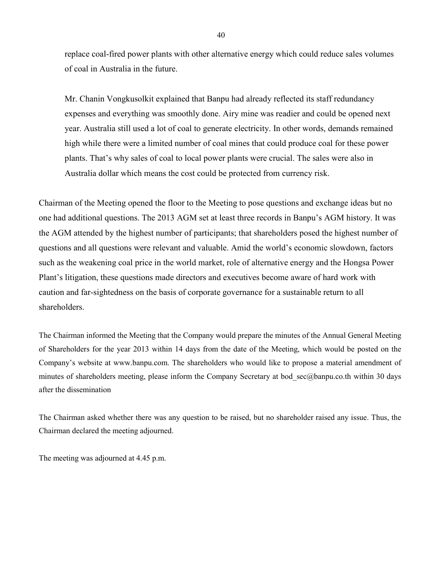replace coal-fired power plants with other alternative energy which could reduce sales volumes of coal in Australia in the future.

Mr. Chanin Vongkusolkit explained that Banpu had already reflected its staff redundancy expenses and everything was smoothly done. Airy mine was readier and could be opened next year. Australia still used a lot of coal to generate electricity. In other words, demands remained high while there were a limited number of coal mines that could produce coal for these power plants. That's why sales of coal to local power plants were crucial. The sales were also in Australia dollar which means the cost could be protected from currency risk.

Chairman of the Meeting opened the floor to the Meeting to pose questions and exchange ideas but no one had additional questions. The 2013 AGM set at least three records in Banpu's AGM history. It was the AGM attended by the highest number of participants; that shareholders posed the highest number of questions and all questions were relevant and valuable. Amid the world's economic slowdown, factors such as the weakening coal price in the world market, role of alternative energy and the Hongsa Power Plant's litigation, these questions made directors and executives become aware of hard work with caution and far-sightedness on the basis of corporate governance for a sustainable return to all shareholders.

The Chairman informed the Meeting that the Company would prepare the minutes of the Annual General Meeting of Shareholders for the year 2013 within 14 days from the date of the Meeting, which would be posted on the Company's website at www.banpu.com. The shareholders who would like to propose a material amendment of minutes of shareholders meeting, please inform the Company Secretary at bod\_sec@banpu.co.th within 30 days after the dissemination

The Chairman asked whether there was any question to be raised, but no shareholder raised any issue. Thus, the Chairman declared the meeting adjourned.

The meeting was adjourned at 4.45 p.m.